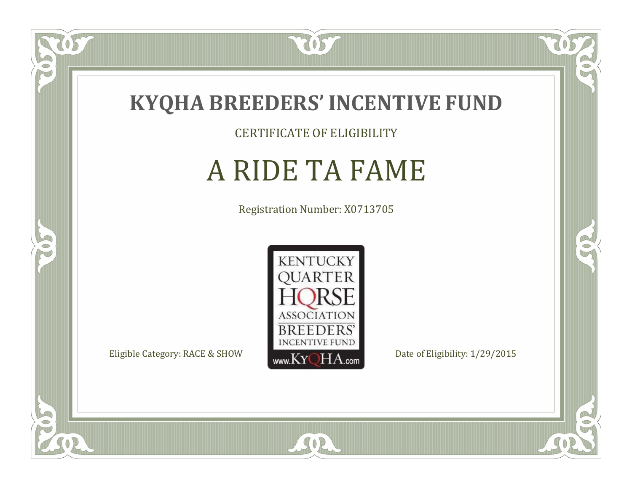

057

 $\bullet$ NU

5

CERTIFICATE OF ELIGIBILITY

# A RIDE TA FAME

Registration Number: X0713705



SOR

CO.

 $\rightarrow$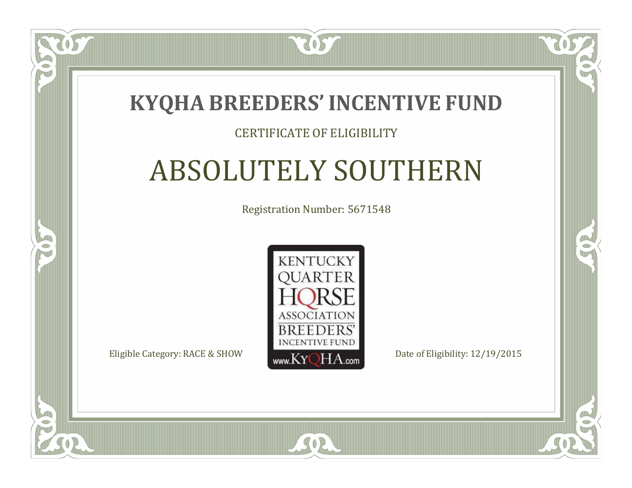### **KYQHA BREEDERS'INCENTIVE FUND**

7057

### CERTIFICATE OF ELIGIBILITY

# ABSOLUTELY SOUTHERN

Registration Number: 5671548



SOR

CO.

 $\rightarrow$ 

 $\Box$ N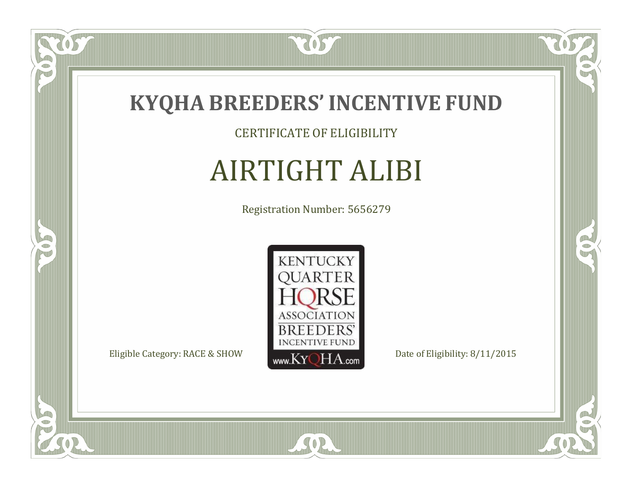

CERTIFICATE OF ELIGIBILITY

# AIRTIGHT ALIBI

Registration Number: 5656279



SOR

CO.

R

US

 $\bullet$ NU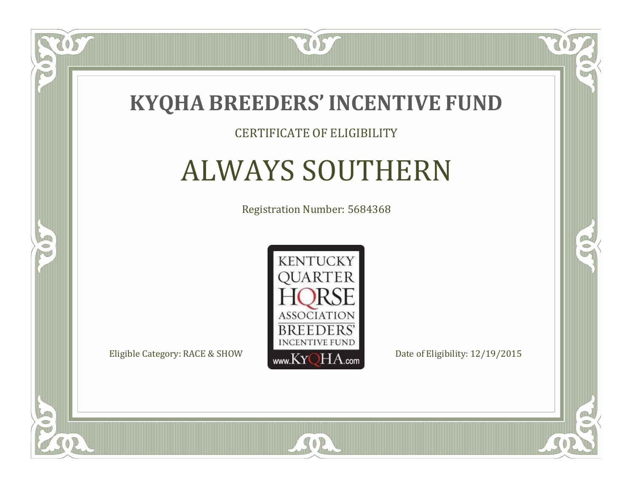

### CERTIFICATE OF ELIGIBILITY

# ALWAYS SOUTHERN

Registration Number: 5684368



 $SO2$ 

CO.

 $\rightarrow$ 

 $\Box$ N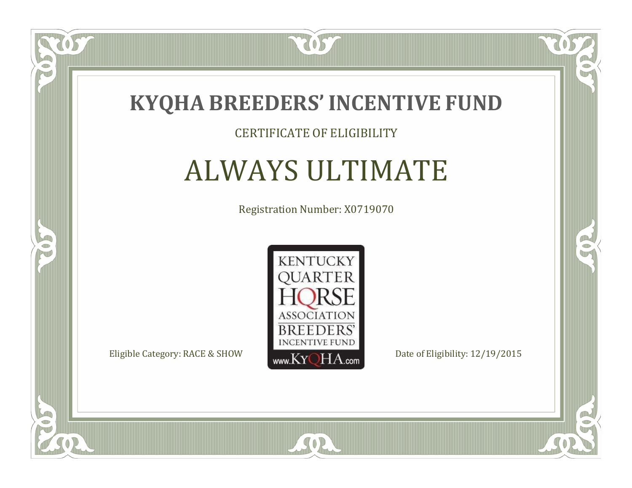

### CERTIFICATE OF ELIGIBILITY

# ALWAYS ULTIMATE

Registration Number: X0719070



 $SO2$ 

CO.

 $\rightarrow$ 

 $\Box$ N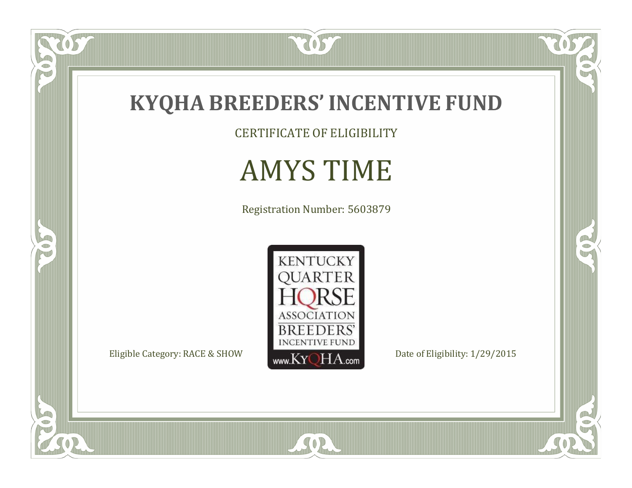

CERTIFICATE OF ELIGIBILITY

# AMYS TIME

Registration Number: 5603879



SOR

 $\mathbb{R}$ 

 $\mathbb{R}^2$ 

 $\overline{OS}$ 

 $\bullet$ N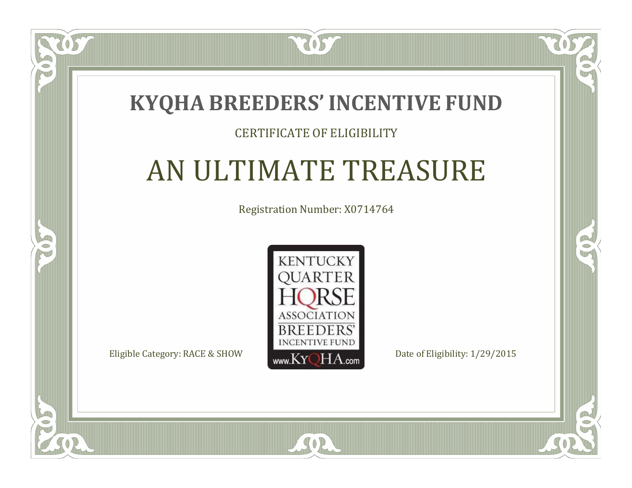### **KYQHA BREEDERS'INCENTIVE FUND**

7057

### CERTIFICATE OF ELIGIBILITY

# AN ULTIMATE TREASURE

Registration Number: X0714764



SOR

CO.

 $\rightarrow$ 

 $\blacksquare$ N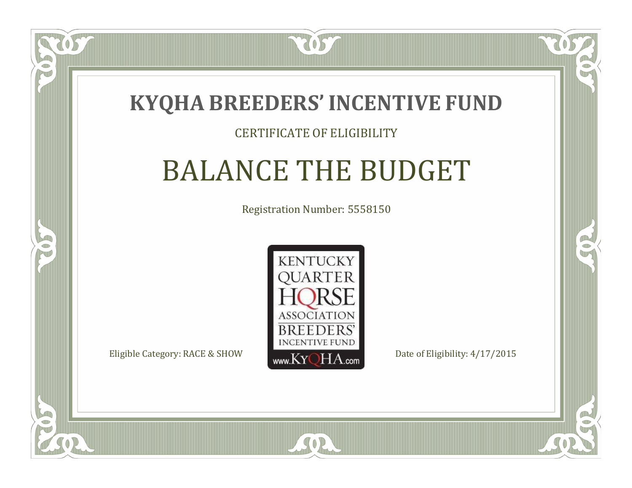

### CERTIFICATE OF ELIGIBILITY

# BALANCE THE BUDGET

Registration Number: 5558150



 $SO2$ 

RO

 $\rightarrow$ 

 $\blacksquare$ N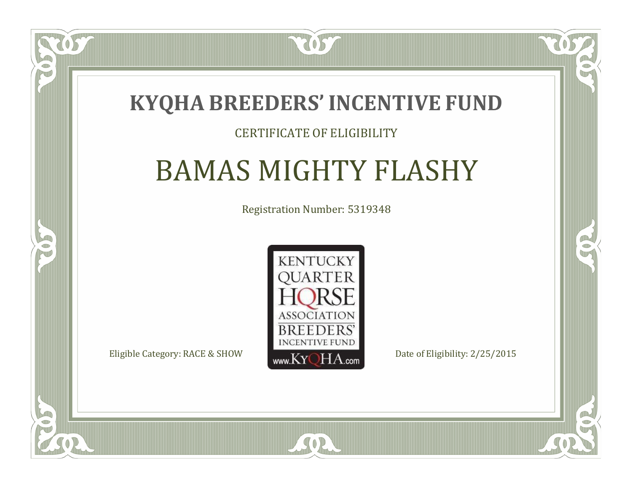### **KYQHA BREEDERS'INCENTIVE FUND**

7057

### CERTIFICATE OF ELIGIBILITY

# BAMAS MIGHTY FLASHY

Registration Number: 5319348



SOR

CO.

 $\rightarrow$ 

 $\blacksquare$ N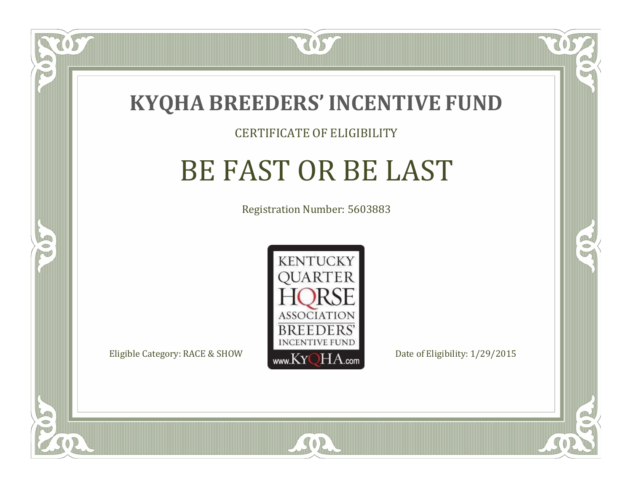

#### CERTIFICATE OF ELIGIBILITY

# BE FAST OR BE LAST

Registration Number: 5603883



SOR

RO

B

 $\Box$ N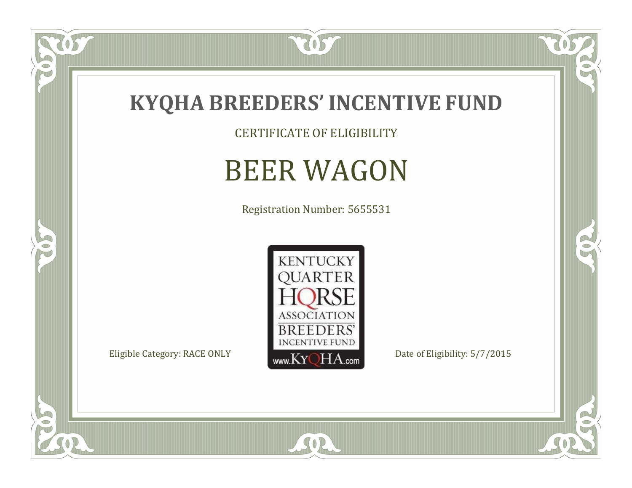

CERTIFICATE OF ELIGIBILITY

# BEER WAGON

Registration Number: 5655531



SOR

 $\mathbb{R}$ 

 $\mathbb{R}^2$ 

 $\overline{OS}$ 

 $\bullet$ N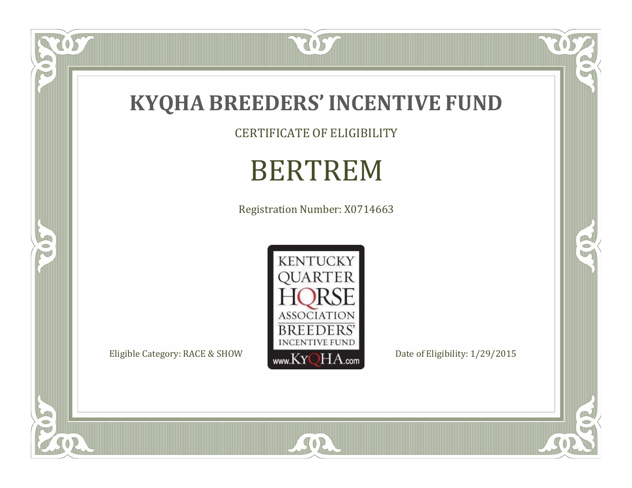

CERTIFICATE OF ELIGIBILITY

# BERTREM

Registration Number: X0714663



SOR

 $\mathbb{R}$ 

 $\mathbb{R}^2$ 

US.

FO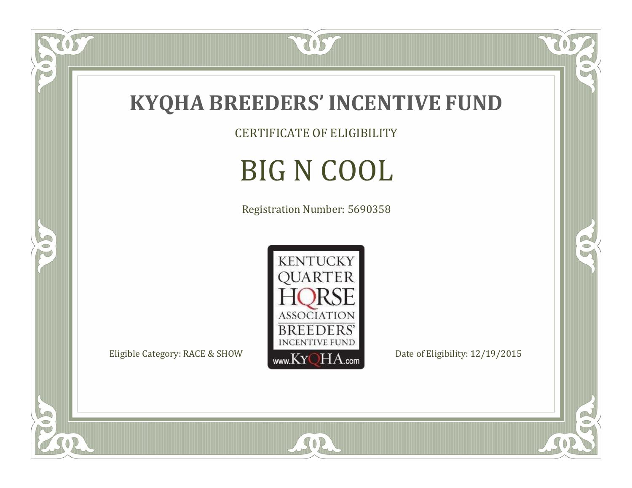

CERTIFICATE OF ELIGIBILITY

# BIG N COOL

Registration Number: 5690358



SOR

 $\overline{OS}$ 

 $\bullet$ N

5

CO.

 $\rightarrow$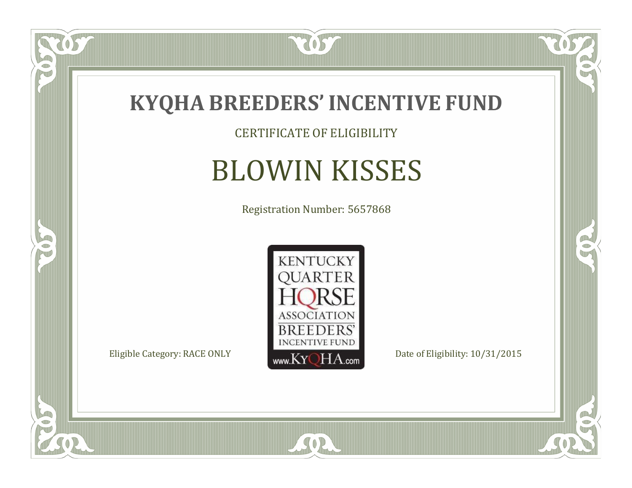

CERTIFICATE OF ELIGIBILITY

# BLOWIN KISSES

Registration Number: 5657868



SOR

CO.

 $\rightarrow$ 

US

 $\bullet$ NU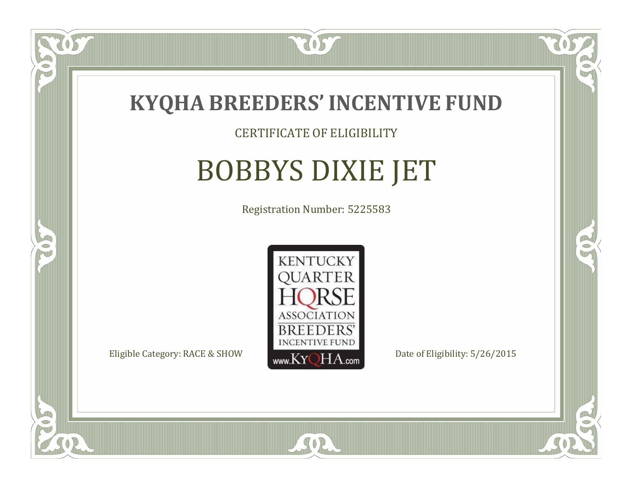

### CERTIFICATE OF ELIGIBILITY

# BOBBYS DIXIE JET

Registration Number: 5225583



SOR

RO

CO.

 $\Box$ N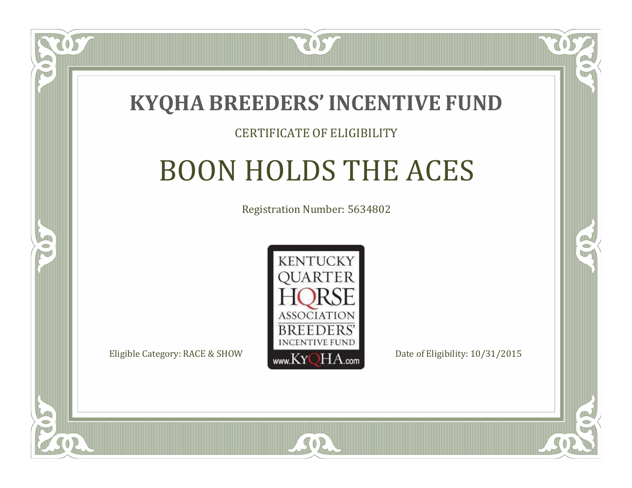

#### CERTIFICATE OF ELIGIBILITY

# BOON HOLDS THE ACES

Registration Number: 5634802



SOR

RO

P.

 $\Box$ T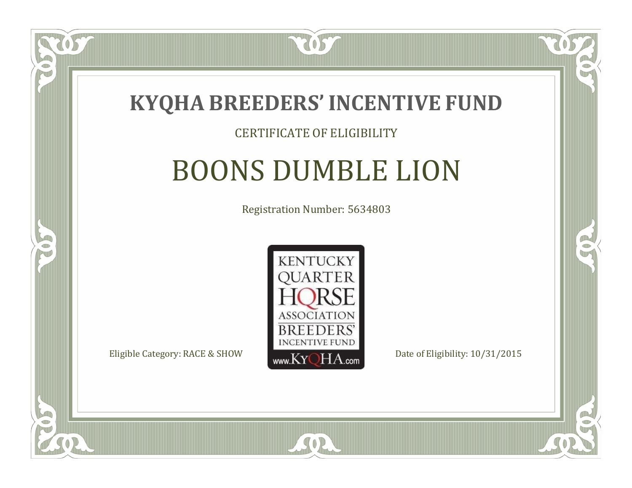

### CERTIFICATE OF ELIGIBILITY

# BOONS DUMBLE LION

Registration Number: 5634803



SOR

CO.

 $\rightarrow$ 

 $\blacksquare$ N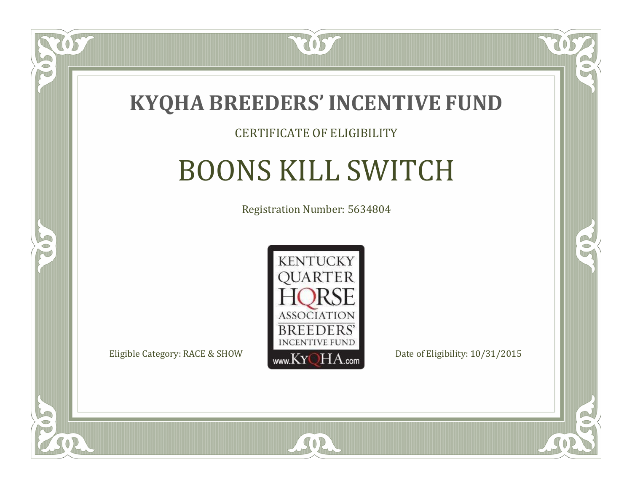

#### CERTIFICATE OF ELIGIBILITY

# BOONS KILL SWITCH

Registration Number: 5634804



SOR

CO.

B

 $\blacksquare$ N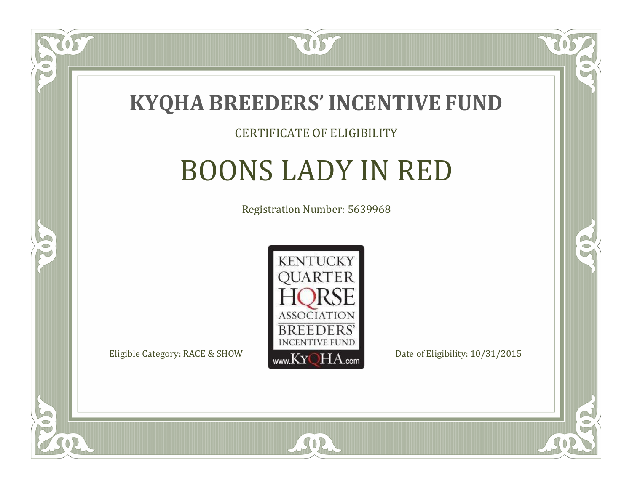

#### CERTIFICATE OF ELIGIBILITY

# BOONS LADY IN RED

Registration Number: 5639968



 $SO2$ 

CO.

B

 $\blacksquare$ N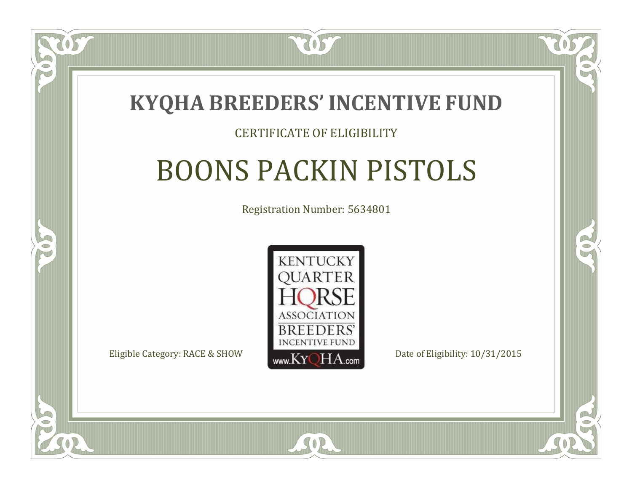

### CERTIFICATE OF ELIGIBILITY

# BOONS PACKIN PISTOLS

Registration Number: 5634801



SOR

RO

P.

 $\Box$ T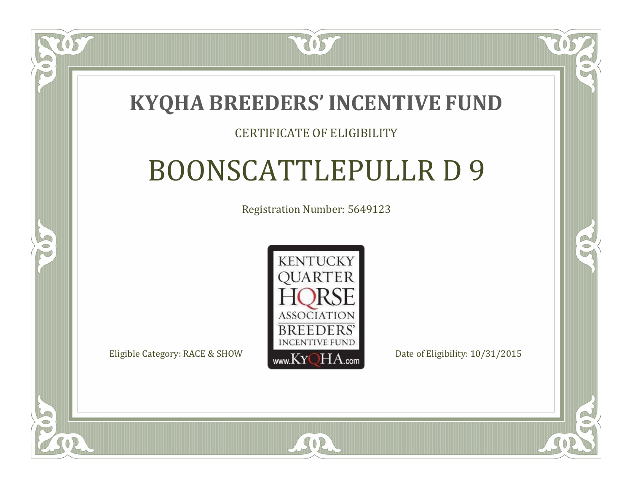### **KYQHA BREEDERS'INCENTIVE FUND**

7057

### CERTIFICATE OF ELIGIBILITY

# BOONSCATTLEPULLR D 9

Registration Number: 5649123



SOR

RO

CO.

 $\Box$ T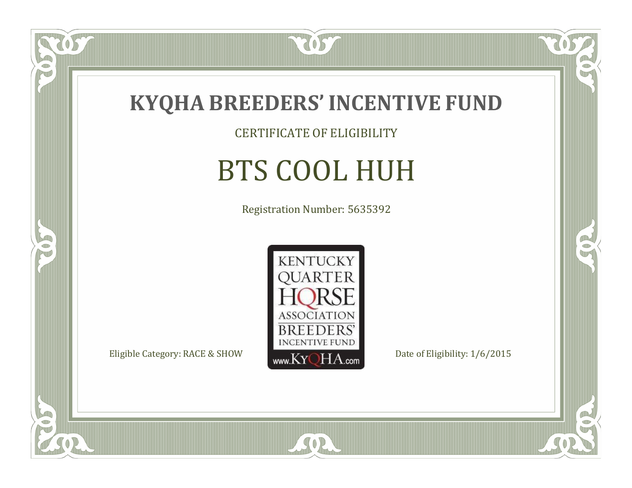

057

 $\bullet$ NU

5

CERTIFICATE OF ELIGIBILITY

# BTS COOL HUH

Registration Number: 5635392



SOR

CO.

 $\rightarrow$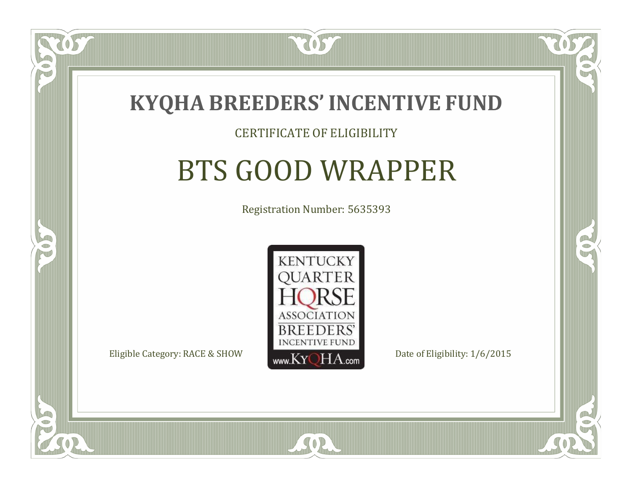

#### CERTIFICATE OF ELIGIBILITY

# BTS GOOD WRAPPER

Registration Number: 5635393



SOR

CO.

B

 $\Box$ N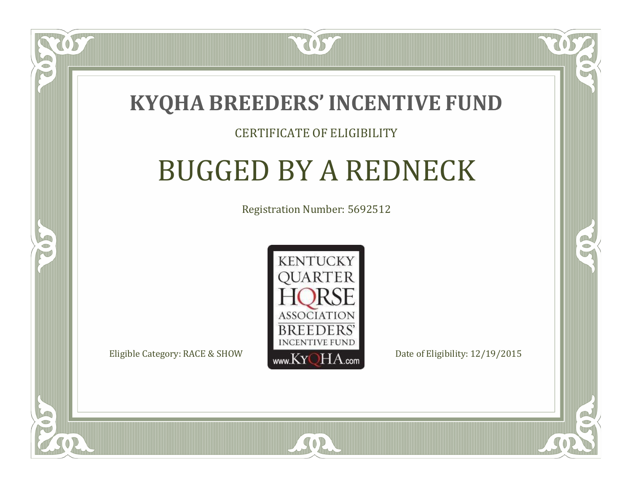

#### CERTIFICATE OF ELIGIBILITY

## BUGGED BY A REDNECK

Registration Number: 5692512



RO

P.

 $\Box$ T

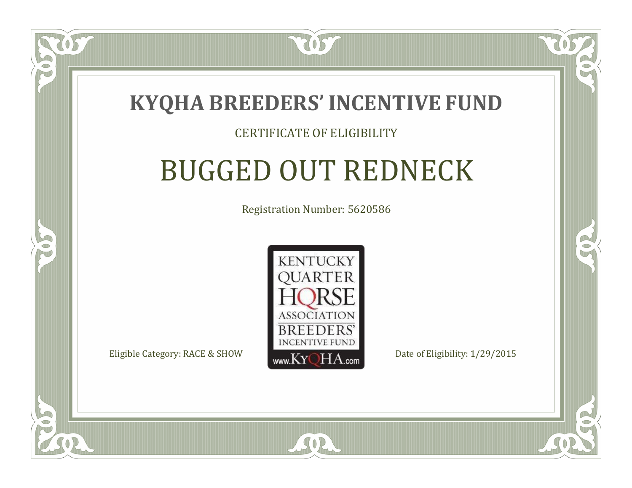

### CERTIFICATE OF ELIGIBILITY

# BUGGED OUT REDNECK

Registration Number: 5620586



SOR

RO

CO.

 $\Box$ N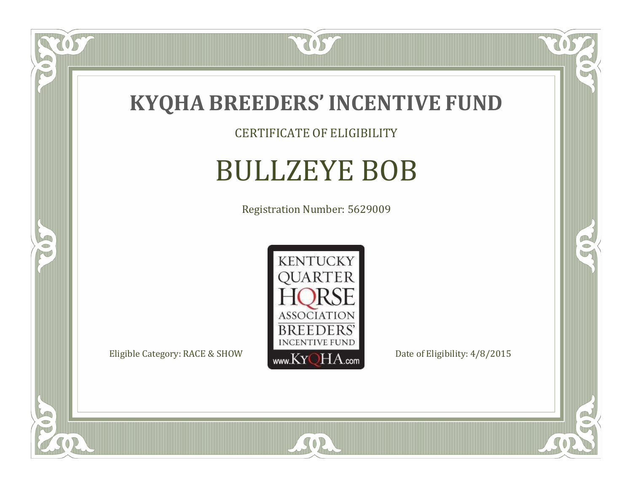

CERTIFICATE OF ELIGIBILITY

# BULLZEYE BOB

Registration Number: 5629009



SOR

 $\mathbb{R}$ 

 $\mathbb{R}^2$ 

 $\overline{OS}$ 

 $\bullet$ N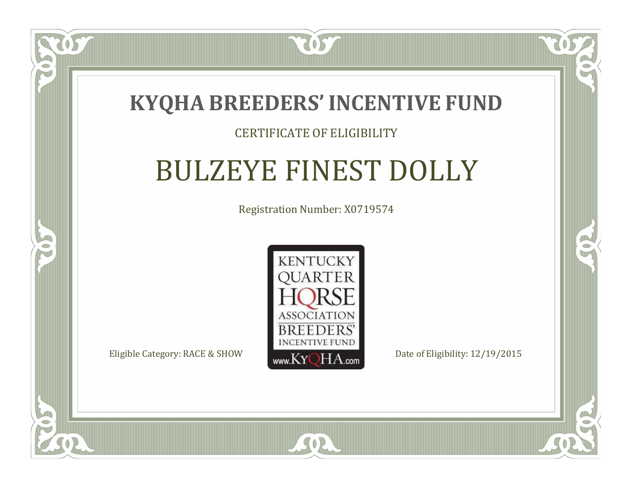

 $\blacksquare$ N

S

### CERTIFICATE OF ELIGIBILITY

# BULZEYE FINEST DOLLY

Registration Number: X0719574



 $SO2$ 

 $\mathbb{R}^2$ 

 $\rightarrow$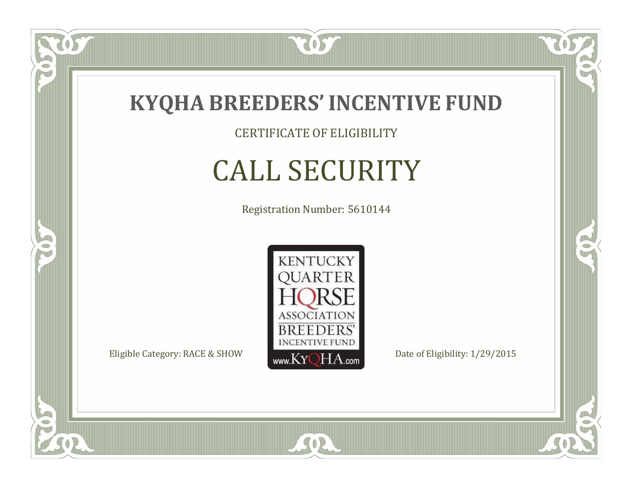

 $\delta S$ 

 $\Box$ NU

5

CERTIFICATE OF ELIGIBILITY

# CALL SECURITY

Registration Number: 5610144



SOR

RO

OR.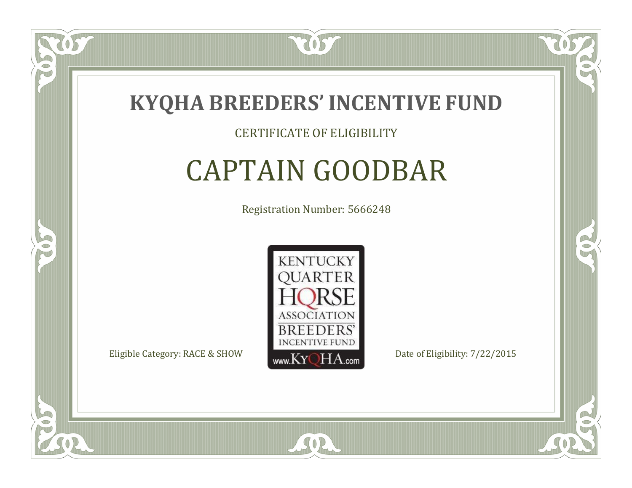

 $\Box$ N

5

#### CERTIFICATE OF ELIGIBILITY

# CAPTAIN GOODBAR

Registration Number: 5666248



SOR

RO

B)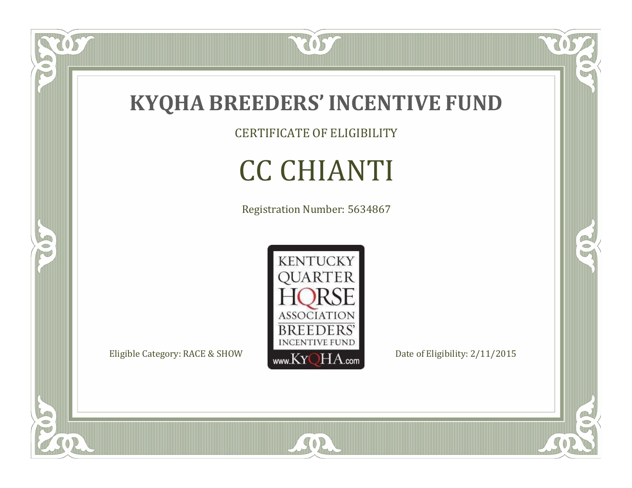

CERTIFICATE OF ELIGIBILITY

# CC CHIANTI

Registration Number: 5634867



SOR

 $\mathbb{R}$ 

 $\mathbb{R}^2$ 

 $\overline{OS}$ 

 $\bullet$ N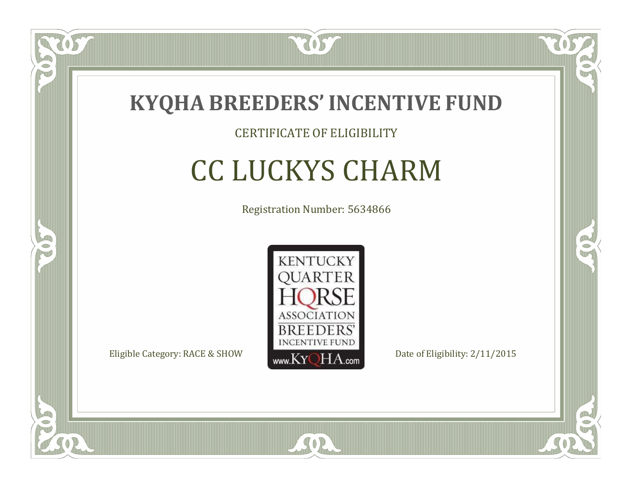

### CERTIFICATE OF ELIGIBILITY

# CC LUCKYS CHARM

Registration Number: 5634866



SOR

RO

B)

 $\Box$ N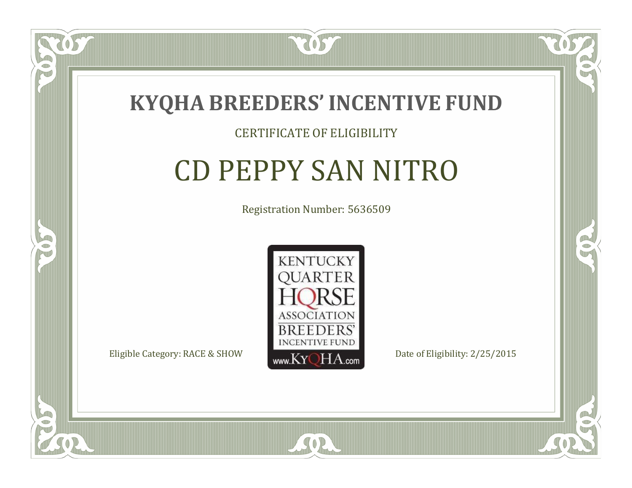

#### CERTIFICATE OF ELIGIBILITY

# CD PEPPY SAN NITRO

Registration Number: 5636509



SOR

CO.

B)

 $\Box$ N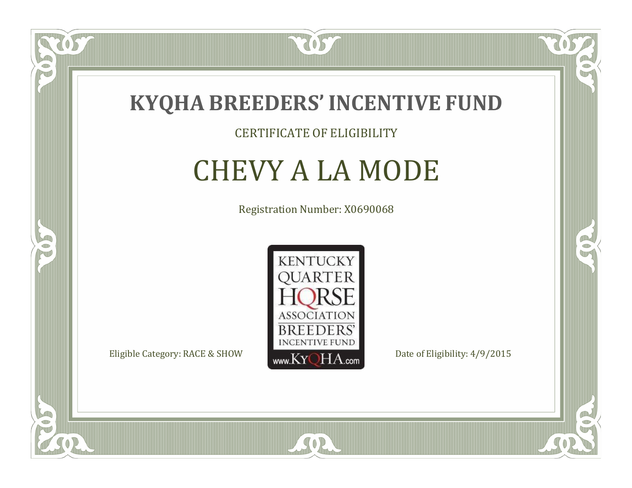

### CERTIFICATE OF ELIGIBILITY

## CHEVY A LA MODE

Registration Number: X0690068



SOR

CO.

B)

 $\delta S$ 

 $\Box$ NU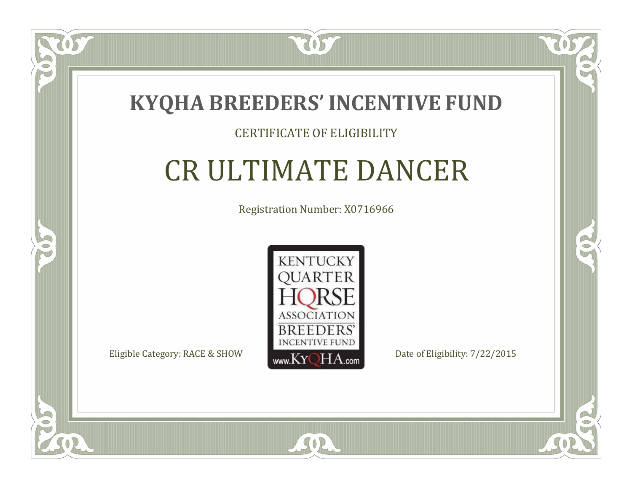

### CERTIFICATE OF ELIGIBILITY

# CR ULTIMATE DANCER

Registration Number: X0716966



SOR

RO

B)

 $\Box$ N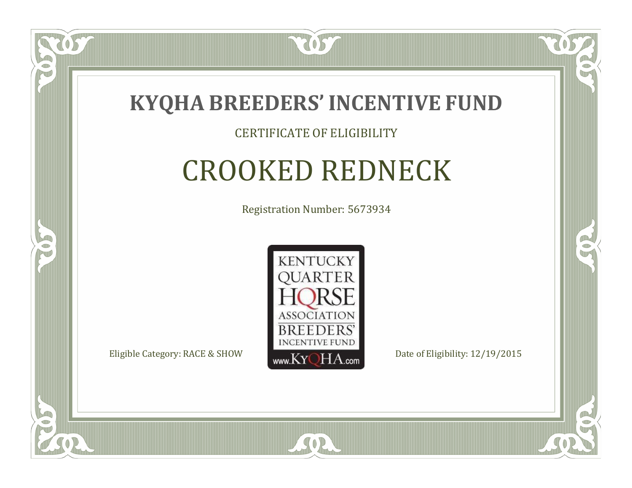

#### CERTIFICATE OF ELIGIBILITY

### CROOKED REDNECK

Registration Number: 5673934



CO.

B)

 $\Box$ N

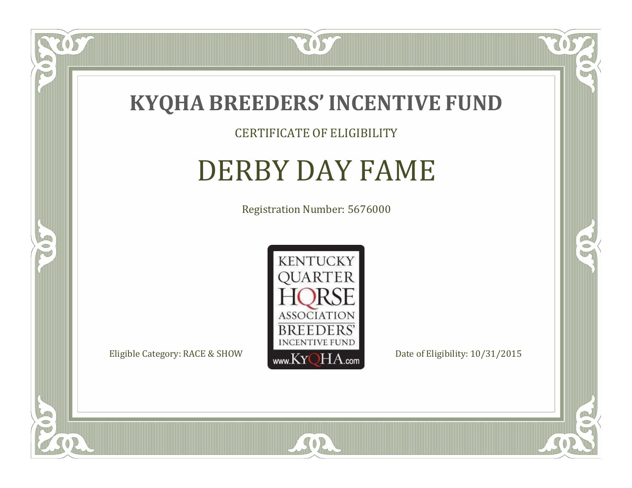

### CERTIFICATE OF ELIGIBILITY

# DERBY DAY FAME

Registration Number: 5676000



SOR

CO.

 $\rightarrow$ 

 $\delta S$ 

 $\bullet$ NU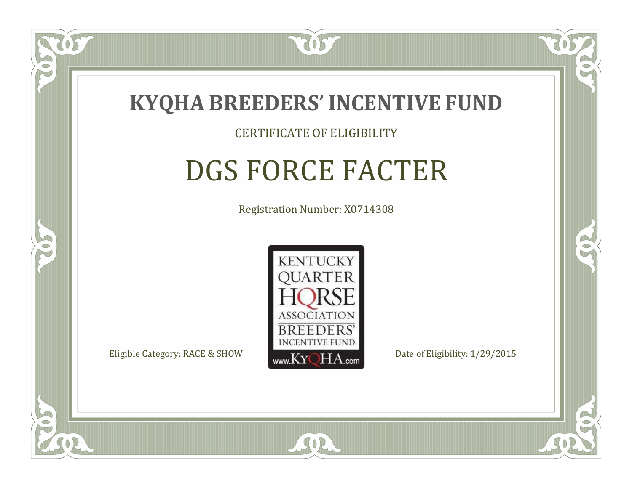

#### CERTIFICATE OF ELIGIBILITY

# DGS FORCE FACTER

Registration Number: X0714308



SOR

RO

CO.

 $\Box$ N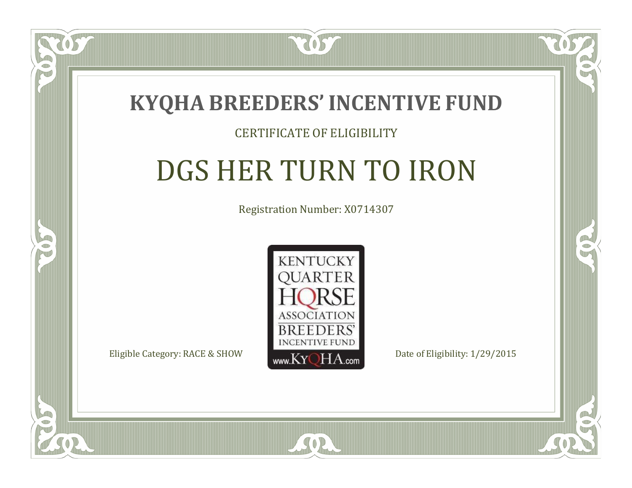

#### CERTIFICATE OF ELIGIBILITY

# DGS HER TURN TO IRON

Registration Number: X0714307



SOR

RO

CO.

 $\Box$ T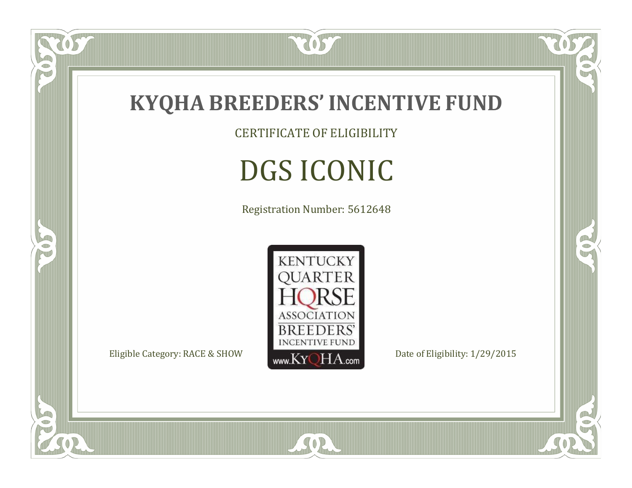

CERTIFICATE OF ELIGIBILITY

# DGS ICONIC

Registration Number: 5612648



SOR

CO.

 $\rightarrow$ 

057

 $\bullet$ N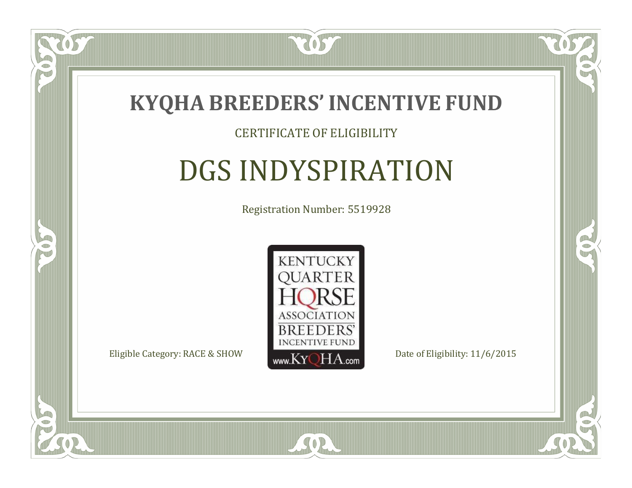

#### CERTIFICATE OF ELIGIBILITY

## DGS INDYSPIRATION

Registration Number: 5519928



SOR

CO.

B

 $\blacksquare$ N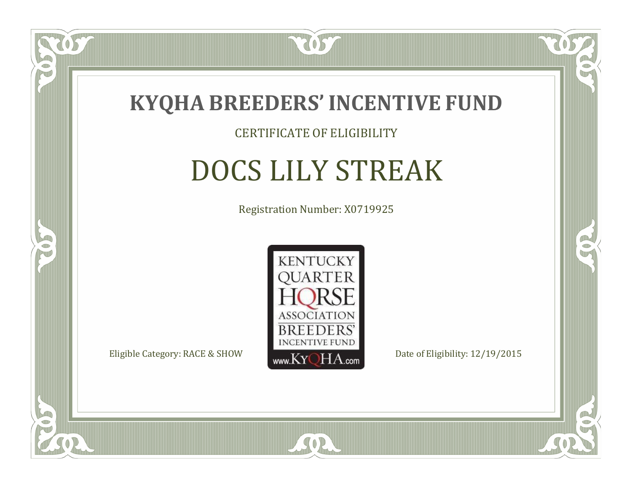

#### CERTIFICATE OF ELIGIBILITY

# DOCS LILY STREAK

Registration Number: X0719925



SOR

RO

B

 $\Box$ N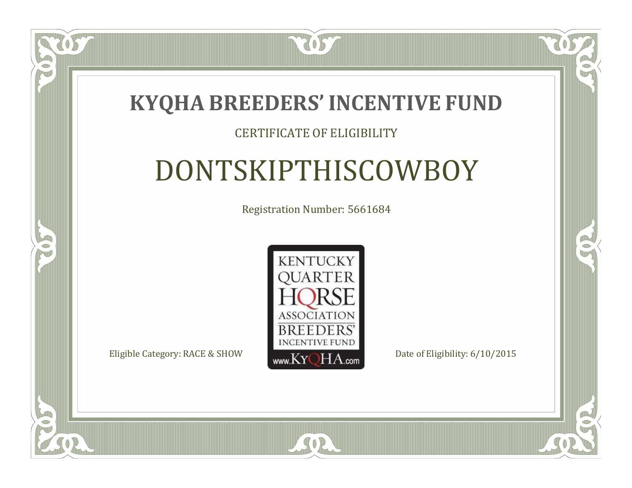

#### CERTIFICATE OF ELIGIBILITY

# DONTSKIPTHISCOWBOY

Registration Number: 5661684



SOR

CO.

B

 $\Box$ N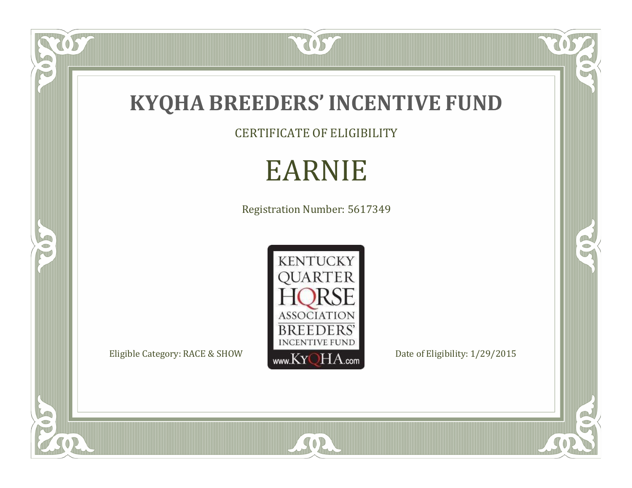

CERTIFICATE OF ELIGIBILITY

# EARNIE

Registration Number: 5617349



SOR

RO

 $\mathbb{R}^2$ 

US.

FO

5

O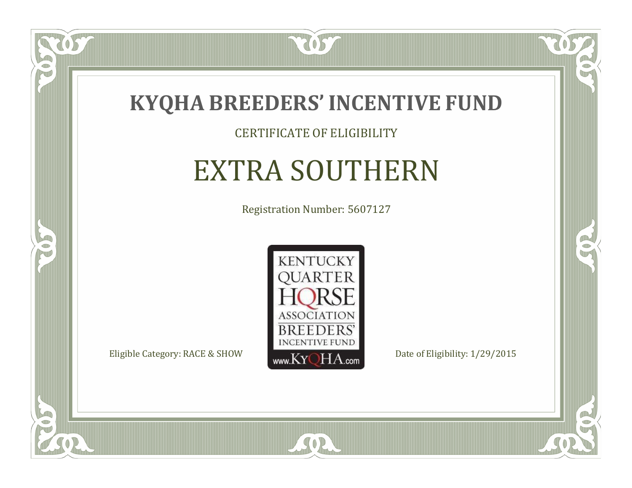

#### CERTIFICATE OF ELIGIBILITY

### EXTRA SOUTHERN

Registration Number: 5607127



SOR

CO.

 $\rightarrow$ 

 $\delta S$ 

 $\Box$ NU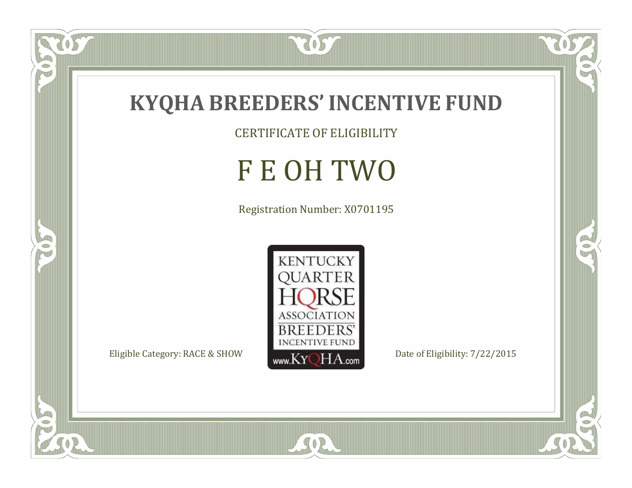

 $\overline{OS}$ 

 $\bullet$ N

5

CERTIFICATE OF ELIGIBILITY

# F E OH TWO

Registration Number: X0701195



SOR

 $\mathbb{R}$ 

 $\mathbb{R}^2$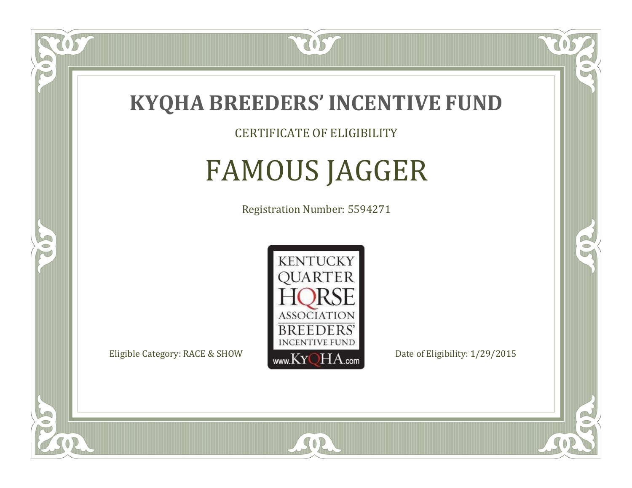

CERTIFICATE OF ELIGIBILITY

# FAMOUS JAGGER

Registration Number: 5594271



 $SO<sub>2</sub>$ 

RO

CO.

 $\Box$ N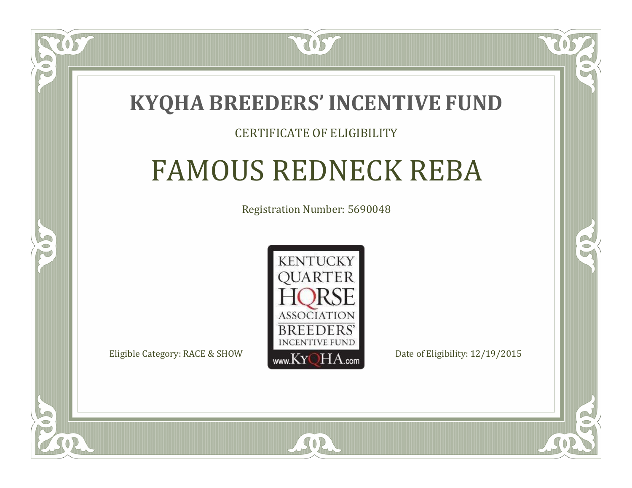### **KYQHA BREEDERS'INCENTIVE FUND**

7057

#### CERTIFICATE OF ELIGIBILITY

# FAMOUS REDNECK REBA

Registration Number: 5690048



SOR

RO

 $\rightarrow$ 

 $\Box$ T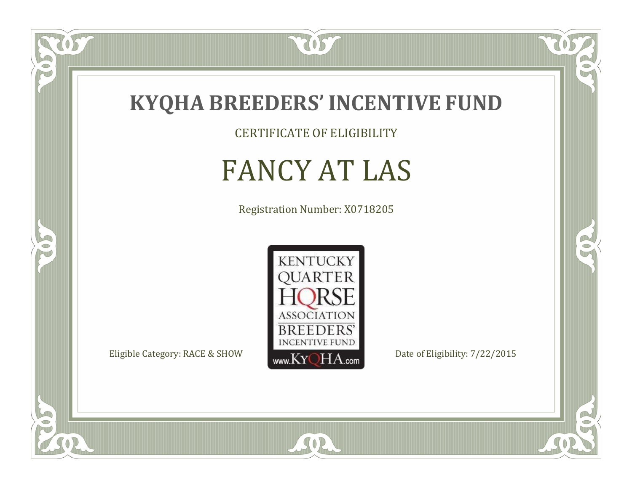

CERTIFICATE OF ELIGIBILITY

# FANCY AT LAS

Registration Number: X0718205



SOR

CO.

 $\rightarrow$ 

US

 $\bullet$ NU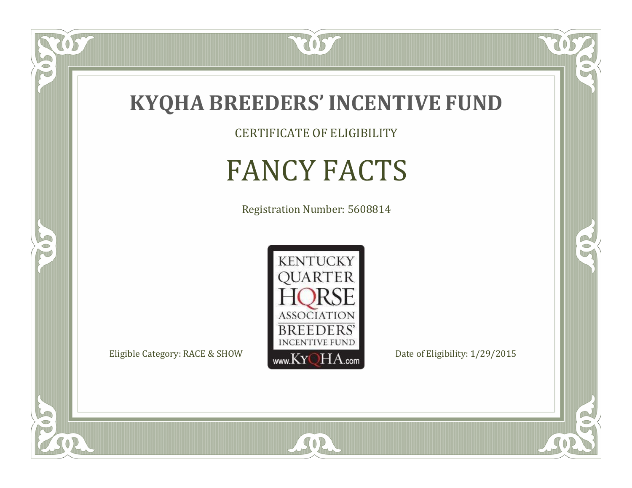

CERTIFICATE OF ELIGIBILITY

### FANCY FACTS

Registration Number: 5608814



SOR

CO.

 $\rightarrow$ 

 $\overline{OS}$ 

 $\bullet$ NU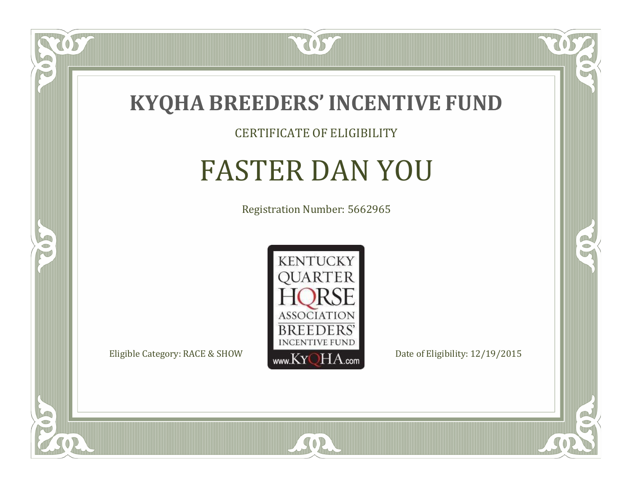

#### CERTIFICATE OF ELIGIBILITY

### FASTER DAN YOU

Registration Number: 5662965



SOR

CO.

 $\rightarrow$ 

 $\widetilde{\text{OS}}$ 

 $\Box$ N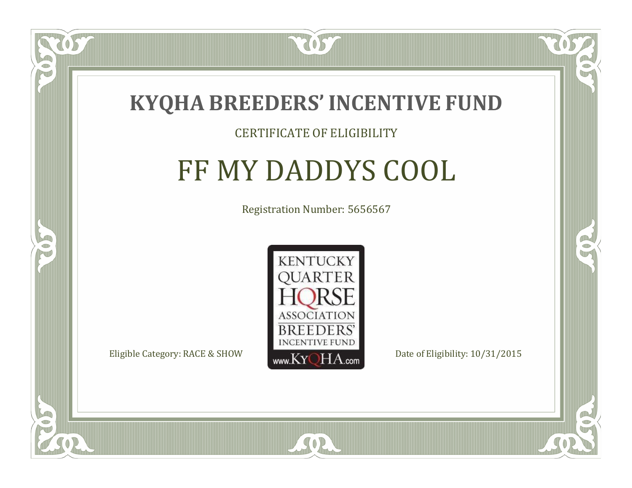

#### CERTIFICATE OF ELIGIBILITY

### FF MY DADDYS COOL

Registration Number: 5656567



 $SO2$ 

CO.

B

 $\Box$ N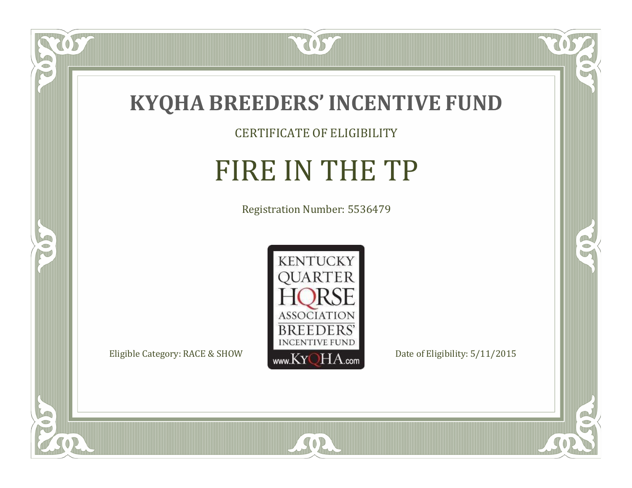

CERTIFICATE OF ELIGIBILITY

# FIRE IN THE TP

Registration Number: 5536479



SOR

 $\overline{OS}$ 

 $\bullet$ N

5

 $\mathbb{R}$ 

 $\mathbb{R}^2$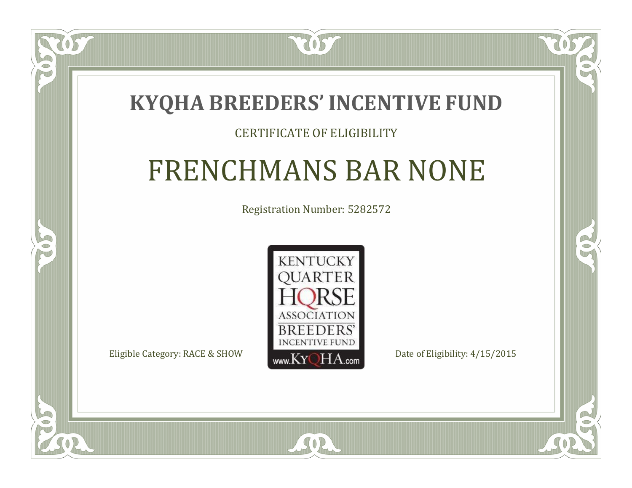### **KYQHA BREEDERS'INCENTIVE FUND**

7057

#### CERTIFICATE OF ELIGIBILITY

### FRENCHMANS BAR NONE

Registration Number: 5282572



SOR

CO.

 $\rightarrow$ 

 $\Box$ N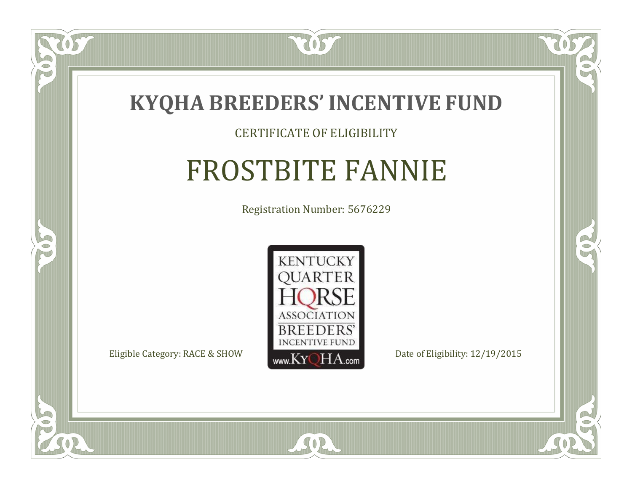

#### CERTIFICATE OF ELIGIBILITY

# FROSTBITE FANNIE

Registration Number: 5676229



CO.

 $\rightarrow$ 

 $\Box$ N

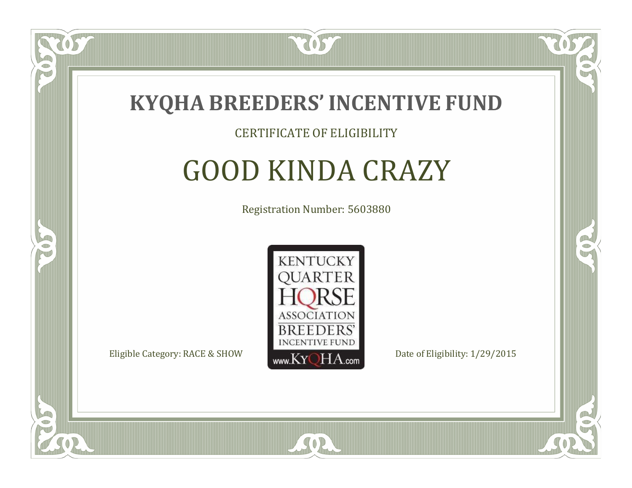

#### CERTIFICATE OF ELIGIBILITY

### GOOD KINDA CRAZY

Registration Number: 5603880



SOR

RO

CO.

 $\Box$ N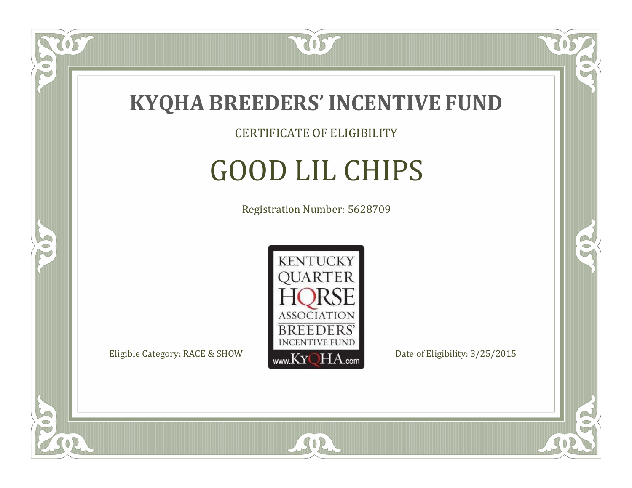

CERTIFICATE OF ELIGIBILITY

# GOOD LIL CHIPS

Registration Number: 5628709



SOR

CO.

B

 $\delta S$ 

 $\bullet$ NU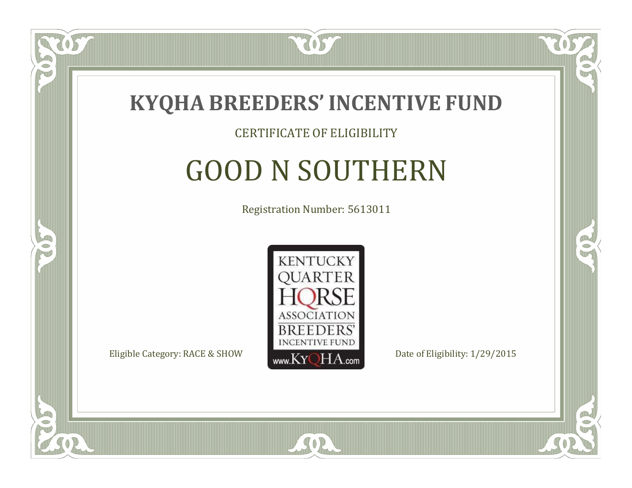

#### CERTIFICATE OF ELIGIBILITY

## GOOD N SOUTHERN

Registration Number: 5613011



SOR

CO.

B)

 $\Box$ N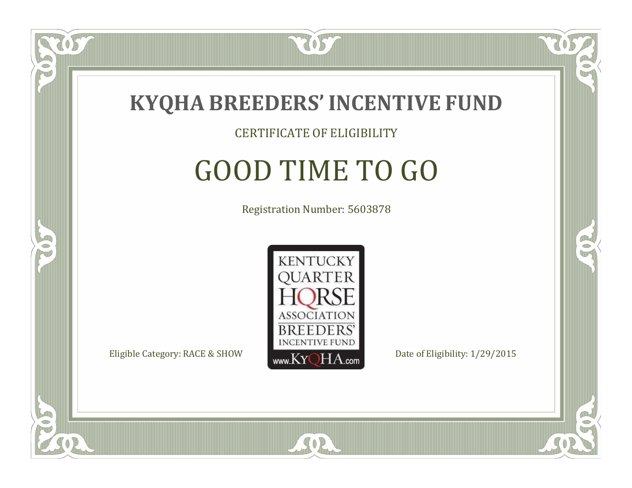

#### CERTIFICATE OF ELIGIBILITY

## GOOD TIME TO GO

Registration Number: 5603878



RO

CO.

 $\Box$ N

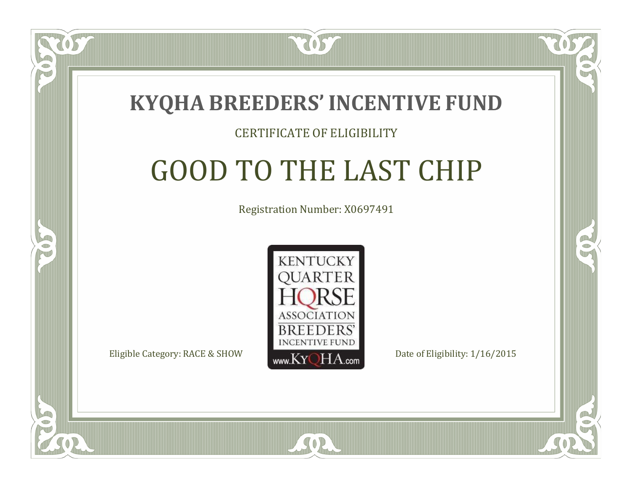

#### CERTIFICATE OF ELIGIBILITY

# GOOD TO THE LAST CHIP

Registration Number: X0697491



 $SO2$ 

CO.

P.

 $\Box$ N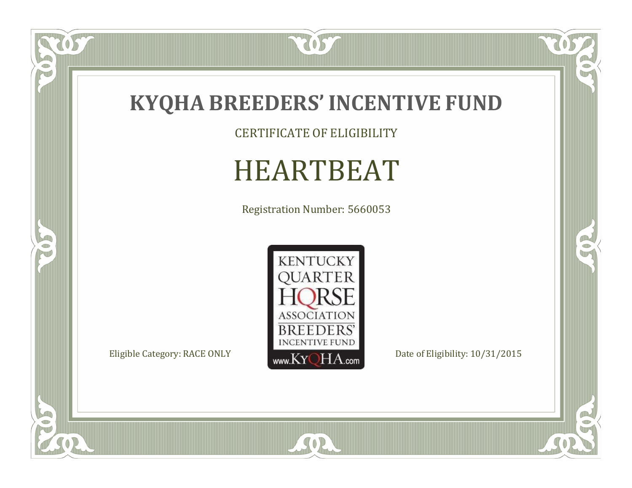

CERTIFICATE OF ELIGIBILITY

# HEARTBEAT

Registration Number: 5660053



SOR

 $\mathbb{R}$ 

 $\mathbb{R}^2$ 

US

 $\bullet$ N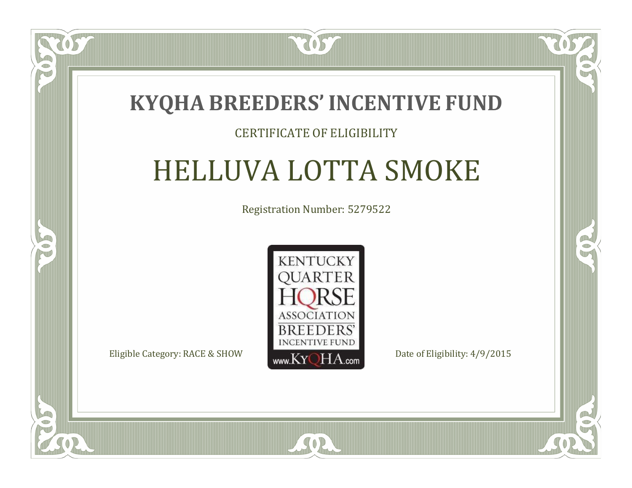

#### CERTIFICATE OF ELIGIBILITY

# HELLUVA LOTTA SMOKE

Registration Number: 5279522



SOR

CO.

 $\rightarrow$ 

 $\blacksquare$ N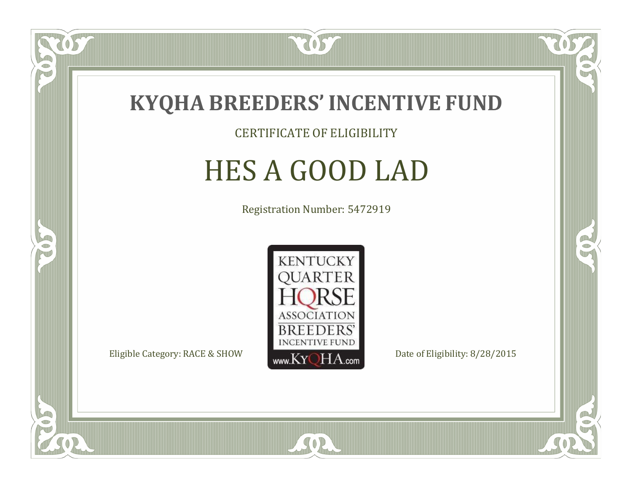

CERTIFICATE OF ELIGIBILITY

# HES A GOOD LAD

Registration Number: 5472919



SOR

CO.

 $\rightarrow$ 

US

 $\Box$ NU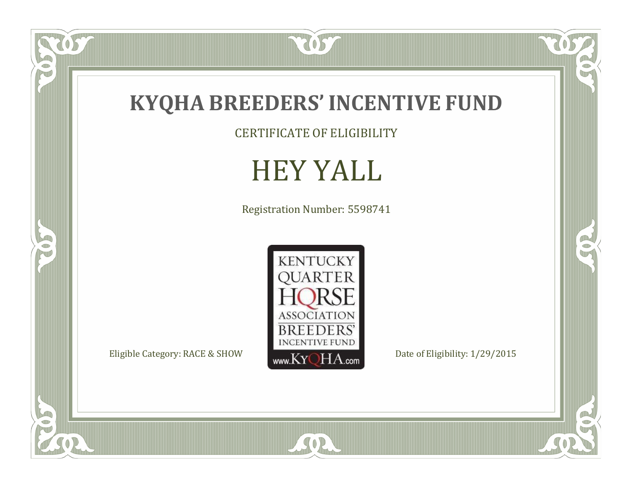

CERTIFICATE OF ELIGIBILITY

### HEY YALL

Registration Number: 5598741



SOR

 $\mathbb{R}$ 

 $\mathbb{R}^2$ 

OST

FO

5

 $\overline{\mathbb{C}}$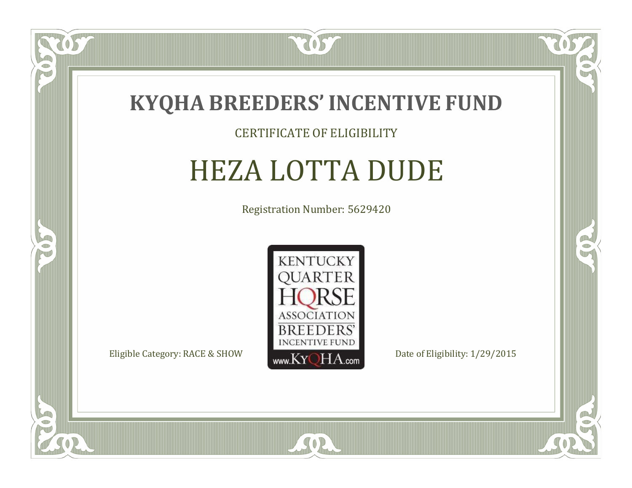

#### CERTIFICATE OF ELIGIBILITY

## HEZA LOTTA DUDE

Registration Number: 5629420



SOR

CO.

 $\rightarrow$ 

057

 $\Box$ NU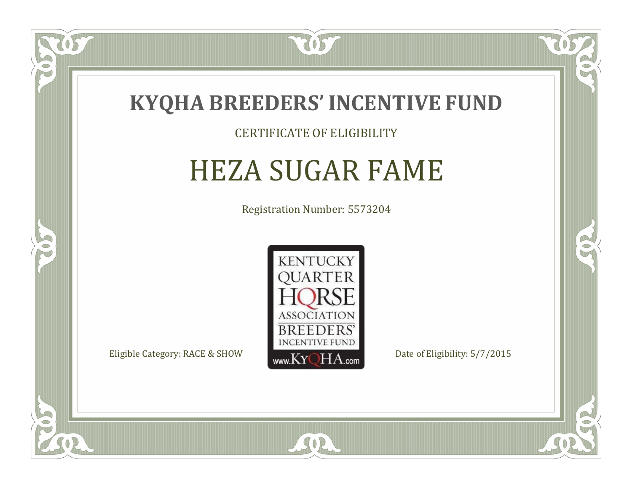

#### CERTIFICATE OF ELIGIBILITY

### HEZA SUGAR FAME

Registration Number: 5573204



 $SO2$ 

CO.

 $\rightarrow$ 

 $\Box$ N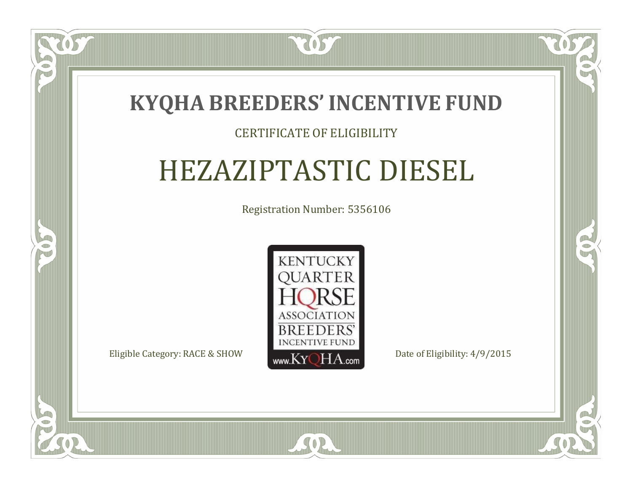

#### CERTIFICATE OF ELIGIBILITY

# HEZAZIPTASTIC DIESEL

Registration Number: 5356106



SOR

RO

 $\rightarrow$ 

 $\Box$ N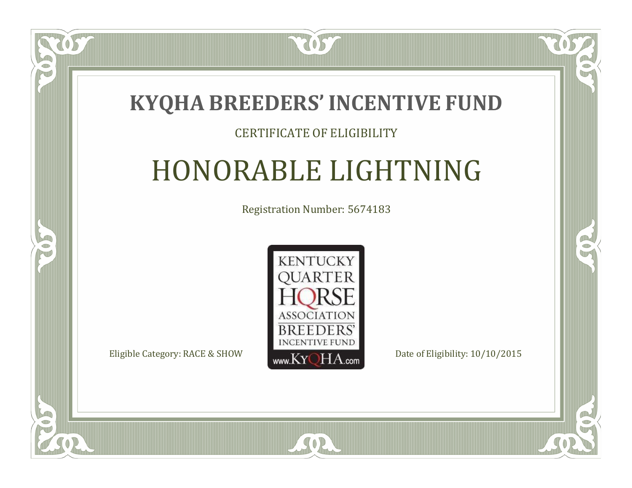### **KYQHA BREEDERS'INCENTIVE FUND**

7057

#### CERTIFICATE OF ELIGIBILITY

# HONORABLE LIGHTNING

Registration Number: 5674183



SOR

CO.

 $\rightarrow$ 

 $\Box$ T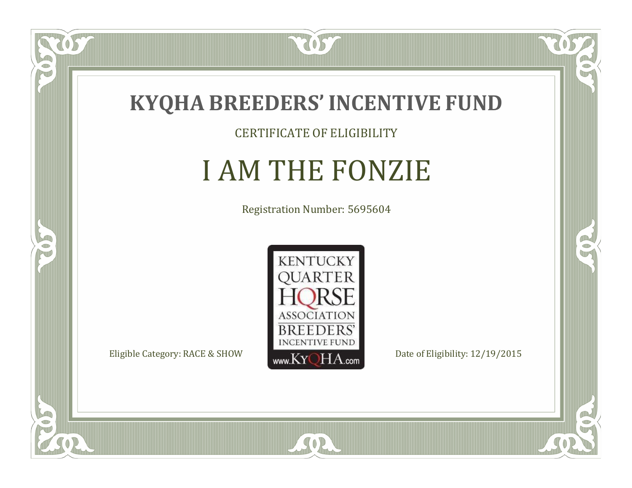

CERTIFICATE OF ELIGIBILITY

# I AM THE FONZIE

Registration Number: 5695604



SOR

CO.

 $\rightarrow$ 

 $\delta S$ 

 $\bullet$ NU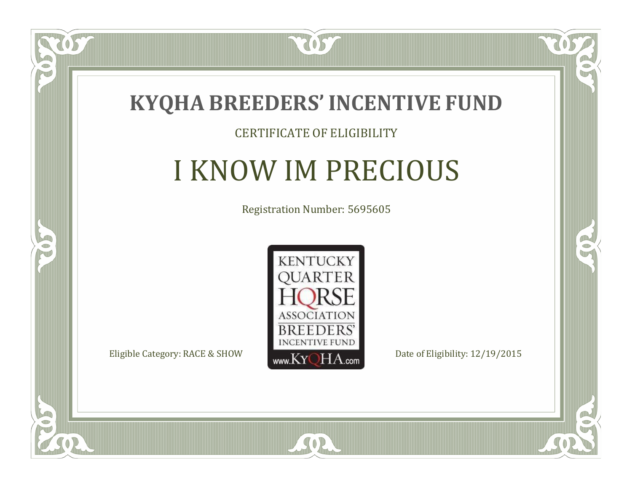

#### CERTIFICATE OF ELIGIBILITY

## I KNOW IM PRECIOUS

Registration Number: 5695605



SOR

CO.

B)

 $\Box$ N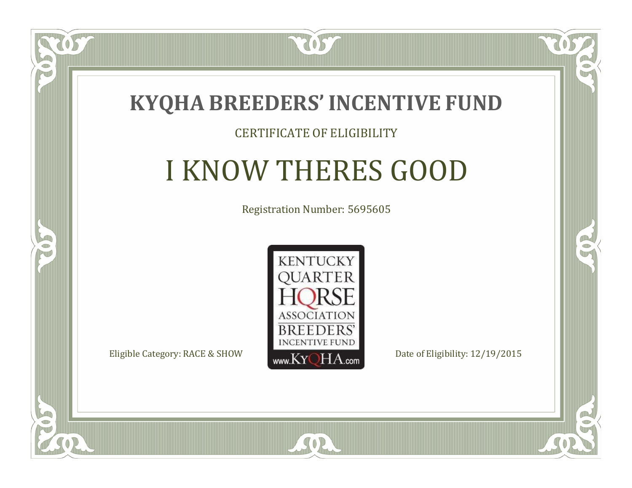

#### CERTIFICATE OF ELIGIBILITY

# I KNOW THERES GOOD

Registration Number: 5695605



SOR

CO.

B)

 $\Box$ N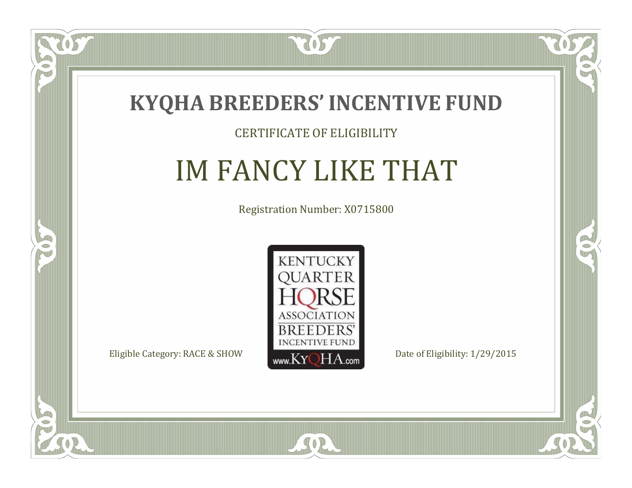

#### CERTIFICATE OF ELIGIBILITY

## IM FANCY LIKE THAT

Registration Number: X0715800



SOR

CO.

 $\rightarrow$ 

OS

 $\Box$ N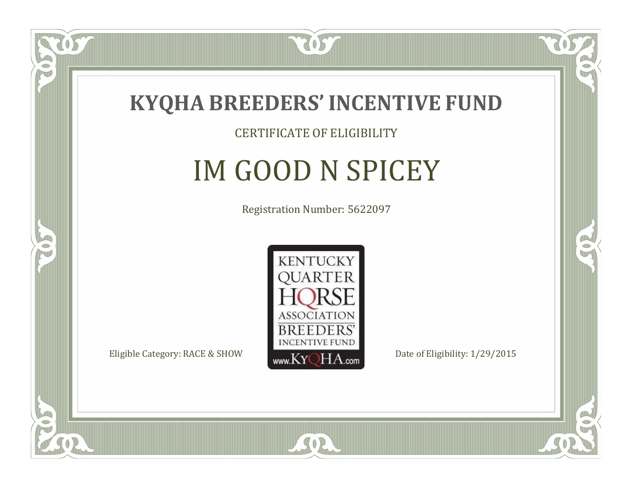

#### CERTIFICATE OF ELIGIBILITY

## IM GOOD N SPICEY

Registration Number: 5622097



SOR

RO

B)

 $\Box$ N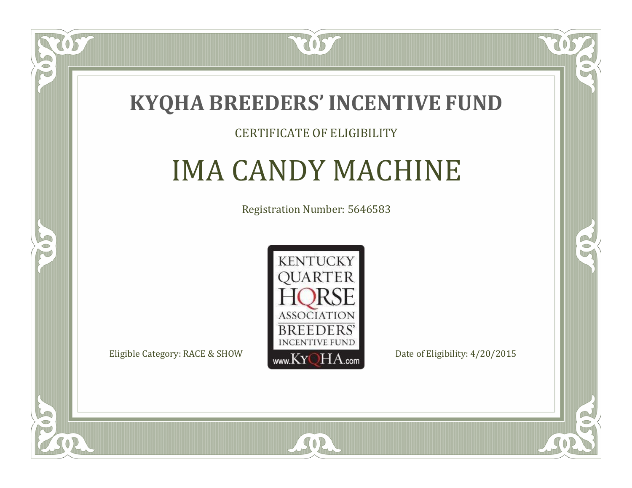

#### CERTIFICATE OF ELIGIBILITY

# IMA CANDY MACHINE

Registration Number: 5646583



SOR

CO.

 $\rightarrow$ 

OS

 $\Box$ NU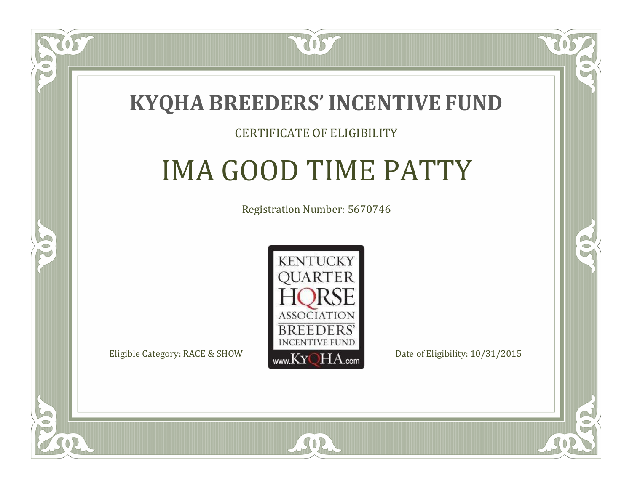

#### CERTIFICATE OF ELIGIBILITY

# IMA GOOD TIME PATTY

Registration Number: 5670746



 $SO2$ 

RO

CO.

 $\Box$ N

S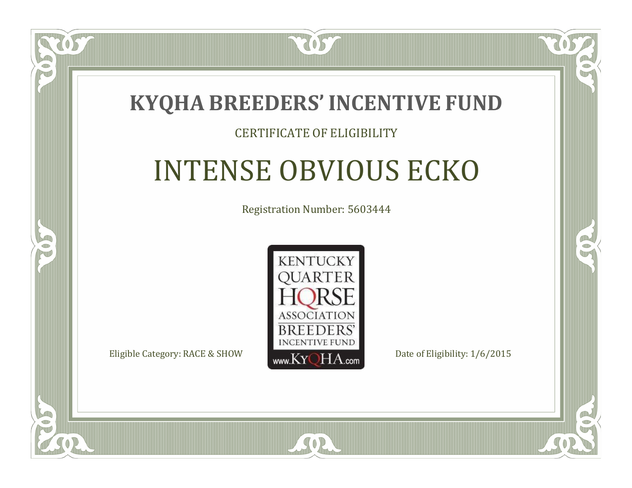

#### CERTIFICATE OF ELIGIBILITY

## INTENSE OBVIOUS ECKO

Registration Number: 5603444



RO

P.

 $\Box$ T

S

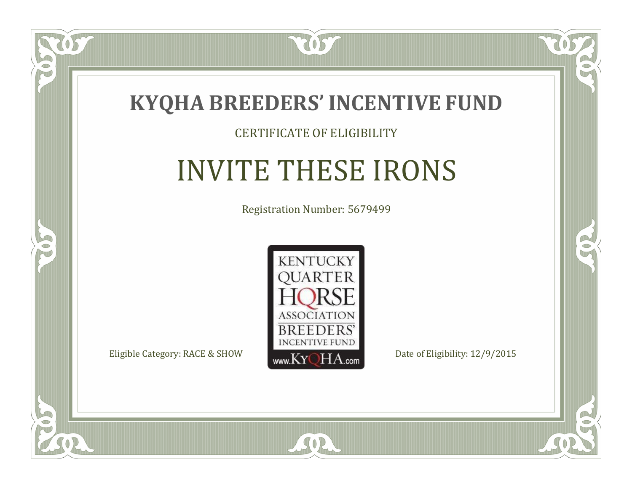

#### CERTIFICATE OF ELIGIBILITY

# INVITE THESE IRONS

Registration Number: 5679499



SOR

CO.

 $\rightarrow$ 

OS

 $\Box$ NU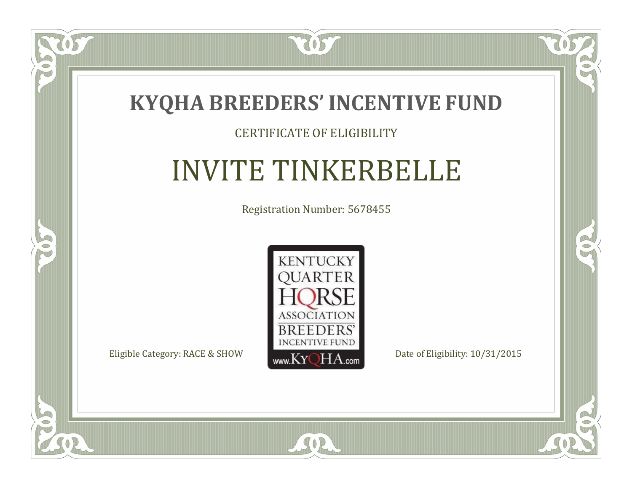

#### CERTIFICATE OF ELIGIBILITY

# INVITE TINKERBELLE

Registration Number: 5678455



 $SO2$ 

CO.

 $\rightarrow$ 

 $\delta S$ 

 $\bullet$ NU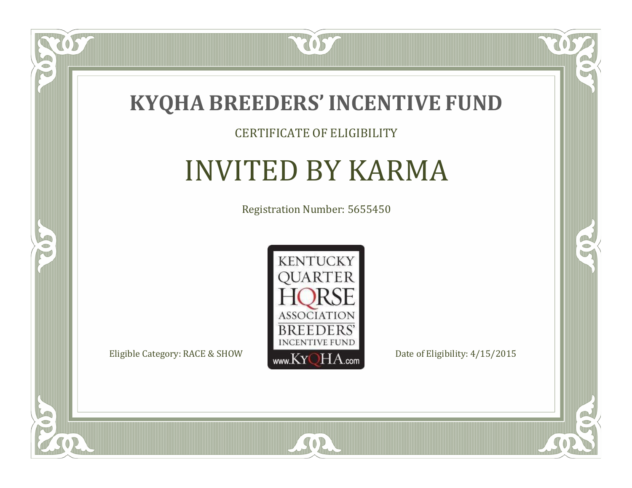

#### CERTIFICATE OF ELIGIBILITY

### INVITED BY KARMA

Registration Number: 5655450



SOR

 $\mathbb{R}$ 

 $\rightarrow$ 

US

 $\bullet$ NU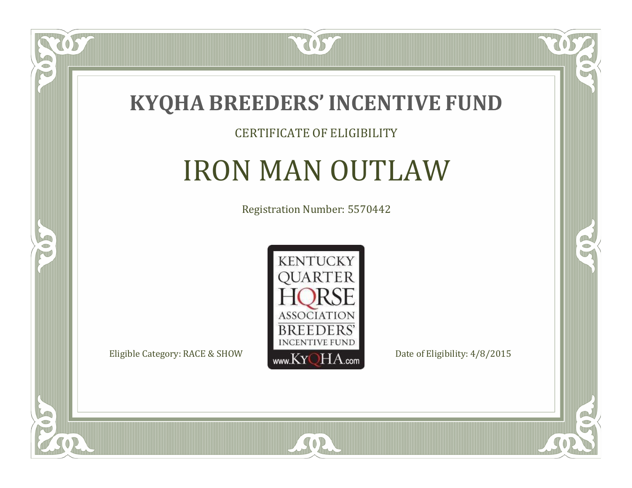

#### CERTIFICATE OF ELIGIBILITY

### IRON MAN OUTLAW

Registration Number: 5570442



SOR

 $\mathbb{R}$ 

 $\rightarrow$ 

US

 $\Box$ NU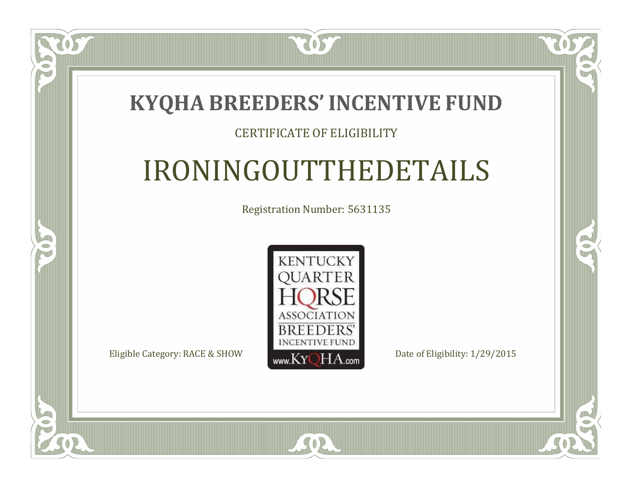### **KYQHA BREEDERS'INCENTIVE FUND**

7057

#### CERTIFICATE OF ELIGIBILITY

# IRONINGOUTTHEDETAILS

Registration Number: 5631135



 $SO2$ 

RO

 $\rightarrow$ 

 $\Box$ N

S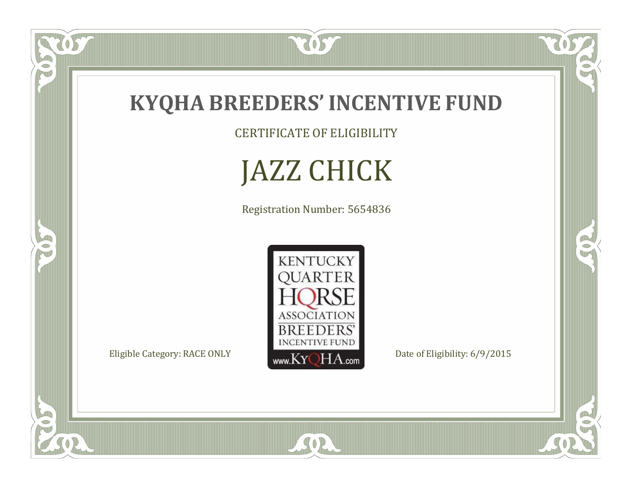

CERTIFICATE OF ELIGIBILITY

JAZZ CHICK

Registration Number: 5654836



SOR

RO

 $\mathbb{R}^2$ 

US.

 $\bullet$ N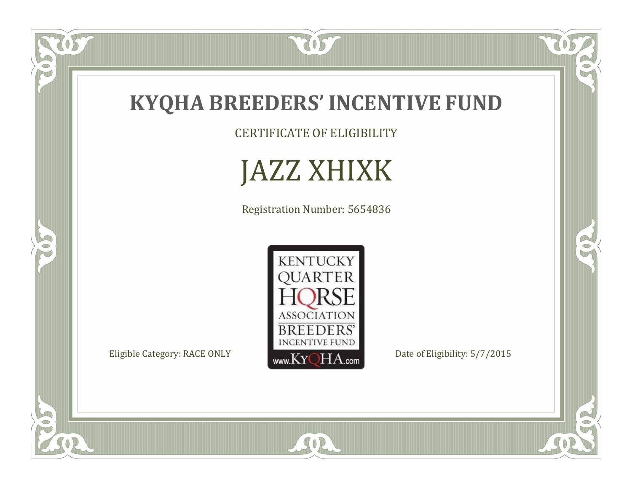

CERTIFICATE OF ELIGIBILITY

## JAZZ XHIXK

Registration Number: 5654836



SOR

RO

 $\mathbb{R}^2$ 

W

FO

5

 $\overline{\mathbb{C}}$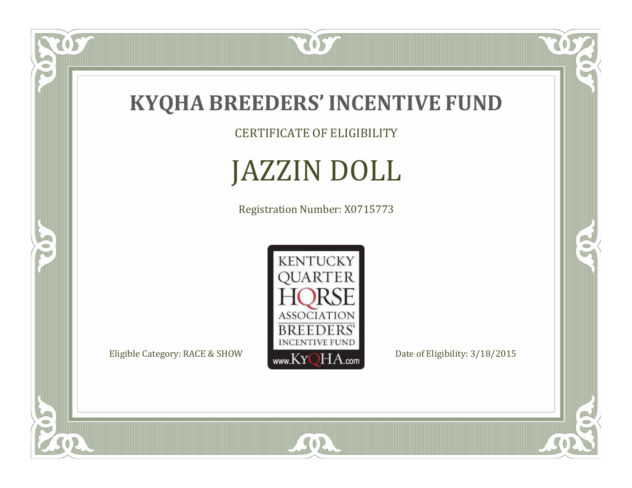

US

 $\bullet$ N

5

CERTIFICATE OF ELIGIBILITY

# JAZZIN DOLL

Registration Number: X0715773



SOR

RO

 $\mathbb{R}^2$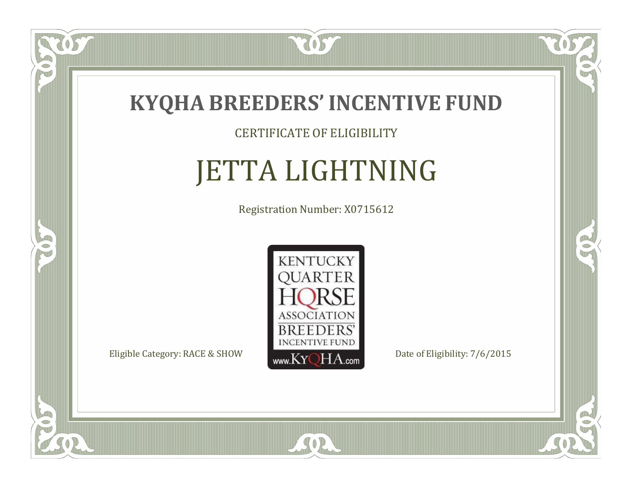

CERTIFICATE OF ELIGIBILITY

# JETTA LIGHTNING

Registration Number: X0715612



SOR

 $\mathbb{R}^2$ 

 $\rightarrow$ 

 $\delta S$ 

 $\Box$ NU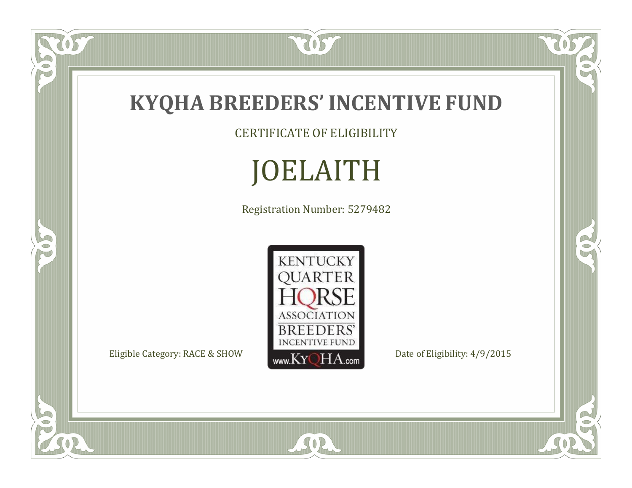

CERTIFICATE OF ELIGIBILITY

# JOELAITH

Registration Number: 5279482



SOR

RO

 $\mathbb{R}^2$ 

OST

FO

5

 $\overline{\mathbb{C}}$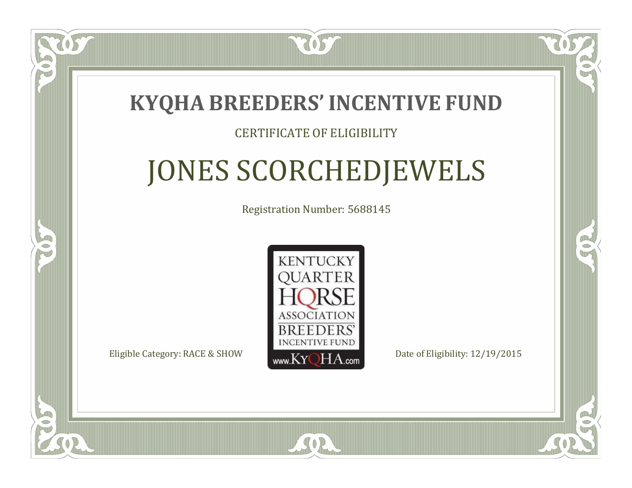

#### CERTIFICATE OF ELIGIBILITY

# JONES SCORCHEDJEWELS

Registration Number: 5688145



SOR

RO

CO.

 $\Box$ N

S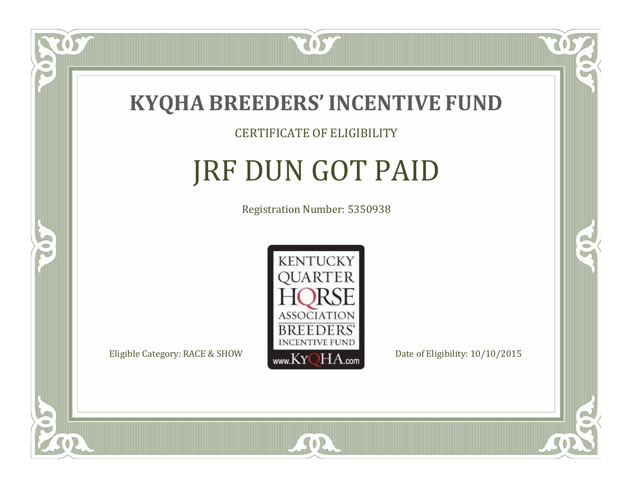

#### CERTIFICATE OF ELIGIBILITY

# JRF DUN GOT PAID

Registration Number: 5350938



SOR

CO.

 $\rightarrow$ 

 $\overline{OS}$ 

 $\Box$ NU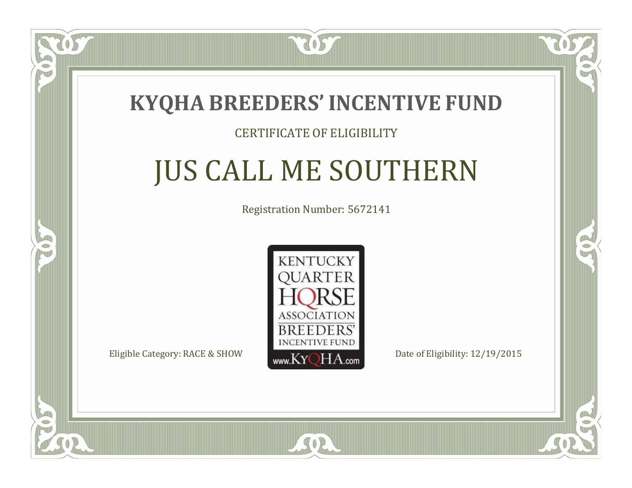

 $\Box$ N

5

#### CERTIFICATE OF ELIGIBILITY

# JUS CALL ME SOUTHERN

Registration Number: 5672141



SOR

CO.

CO.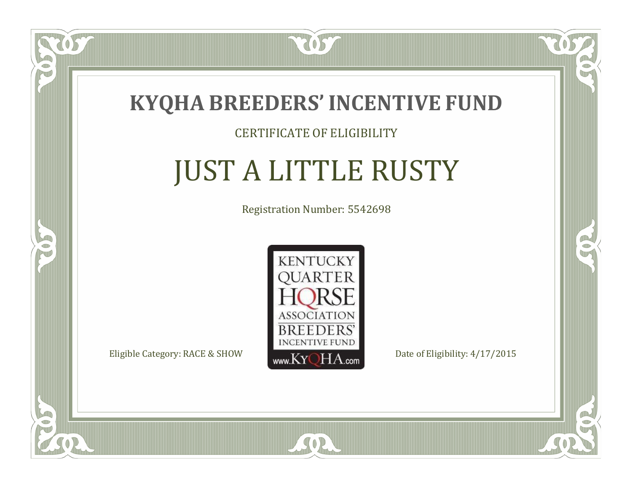

#### CERTIFICATE OF ELIGIBILITY

# JUST A LITTLE RUSTY

Registration Number: 5542698



SOR

CO.

CO.

 $\Box$ N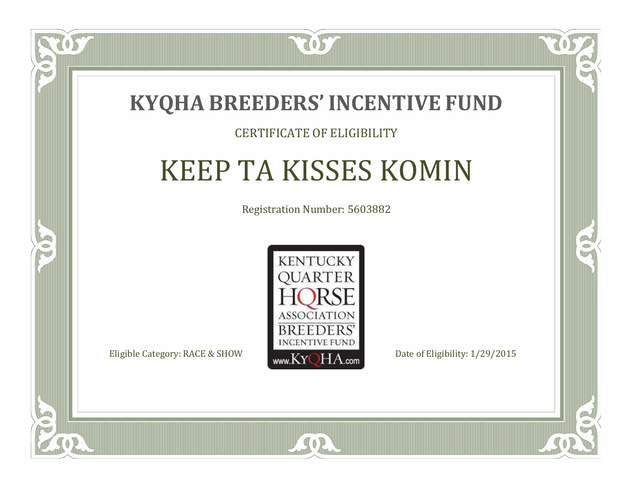

#### CERTIFICATE OF ELIGIBILITY

# KEEP TA KISSES KOMIN

Registration Number: 5603882



SOR

 $\mathbb{R}^2$ 

 $\rightarrow$ 

 $\Box$ N

S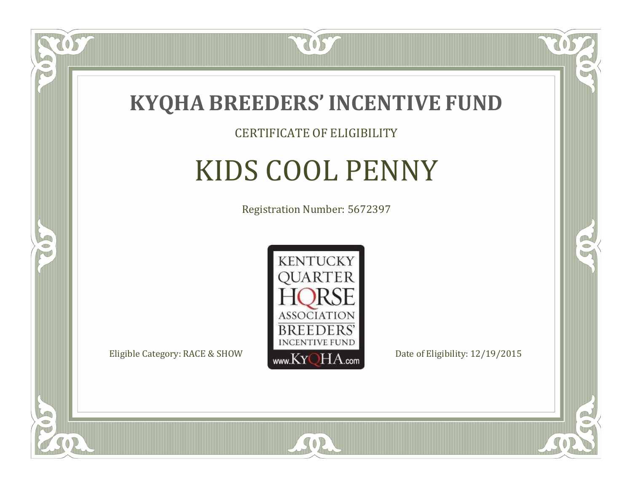

#### CERTIFICATE OF ELIGIBILITY

# KIDS COOL PENNY

Registration Number: 5672397



SOR

CO.

B

 $\Box$ N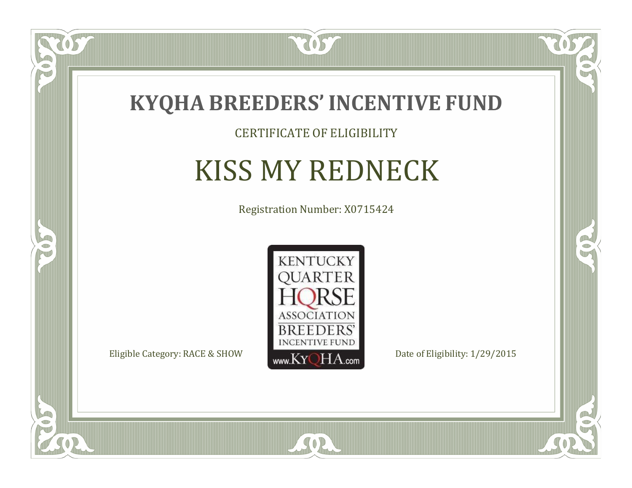

CERTIFICATE OF ELIGIBILITY

## KISS MY REDNECK

Registration Number: X0715424



SOR

CO.

OR.

US

 $\Box$ NU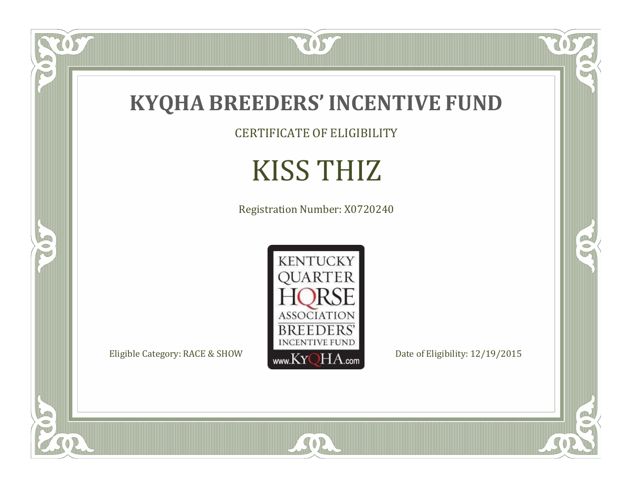

OS

 $\bullet$ N

5

CERTIFICATE OF ELIGIBILITY

# KISS THIZ

Registration Number: X0720240



SOR

 $\mathbb{R}$ 

 $\mathbb{R}^2$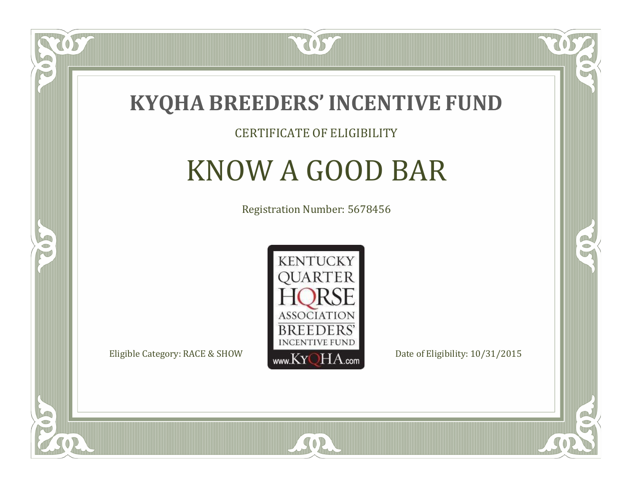

#### CERTIFICATE OF ELIGIBILITY

# KNOW A GOOD BAR

Registration Number: 5678456



SOR

RO

CO.

 $\Box$ N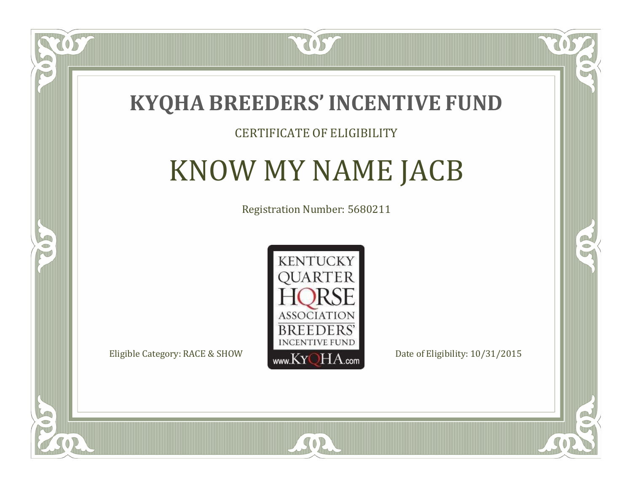

#### CERTIFICATE OF ELIGIBILITY

### KNOW MY NAME JACB

Registration Number: 5680211



 $SO<sub>2</sub>$ 

 $\Box$ N

S

RO

CO.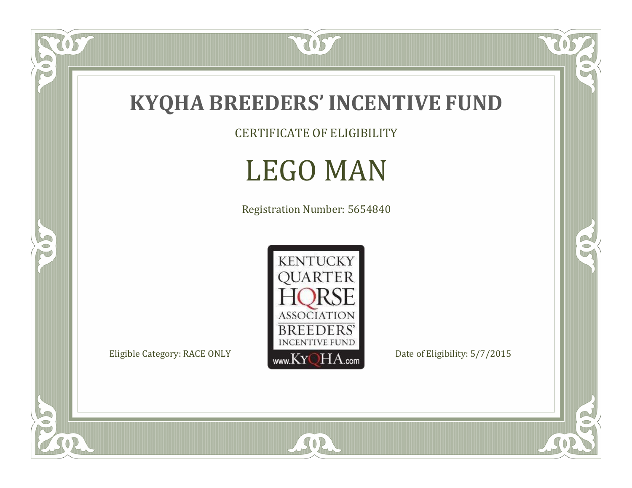

CERTIFICATE OF ELIGIBILITY

### LEGO MAN

Registration Number: 5654840



SOR

 $\mathbb{R}$ 

 $\mathbb{R}^2$ 

US.

FO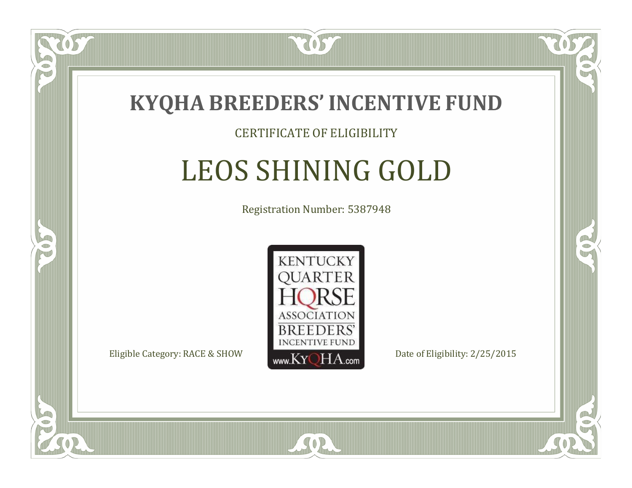

#### CERTIFICATE OF ELIGIBILITY

## LEOS SHINING GOLD

Registration Number: 5387948



SOR

 $\Box$ N

5

RO

B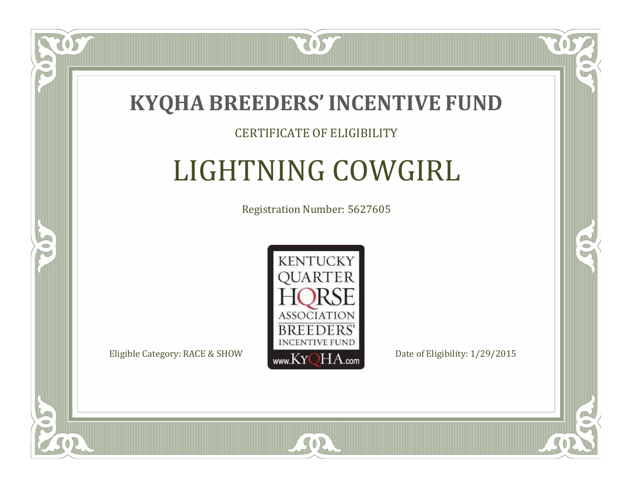

#### CERTIFICATE OF ELIGIBILITY

# LIGHTNING COWGIRL

Registration Number: 5627605



SOR

RO

B

 $\Box$ N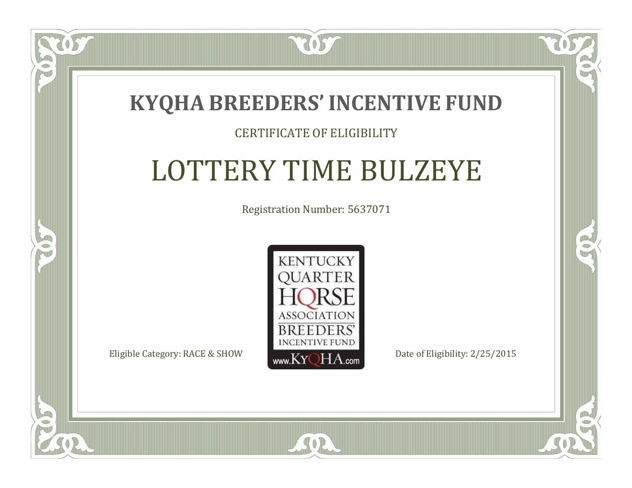### **KYQHA BREEDERS'INCENTIVE FUND**

7057

#### CERTIFICATE OF ELIGIBILITY

# LOTTERY TIME BULZEYE

Registration Number: 5637071



 $\blacksquare$ N

S

CO.

 $\rightarrow$ 

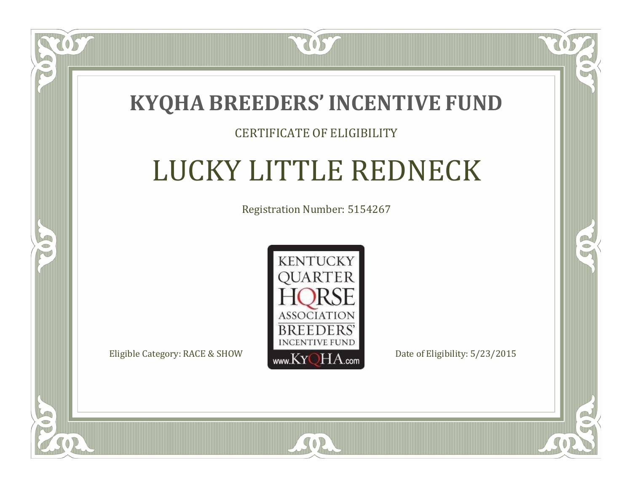

#### CERTIFICATE OF ELIGIBILITY

# LUCKY LITTLE REDNECK

Registration Number: 5154267



SOR

CO.

 $\rightarrow$ 

 $\blacksquare$ N

S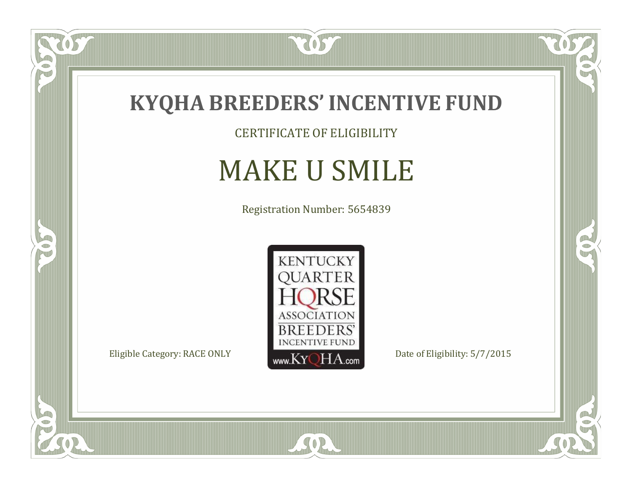

CERTIFICATE OF ELIGIBILITY

# MAKE U SMILE

Registration Number: 5654839



SOR

 $\mathbb{R}$ 

 $\mathbb{R}^2$ 

 $\overline{OS}$ 

 $\bullet$ N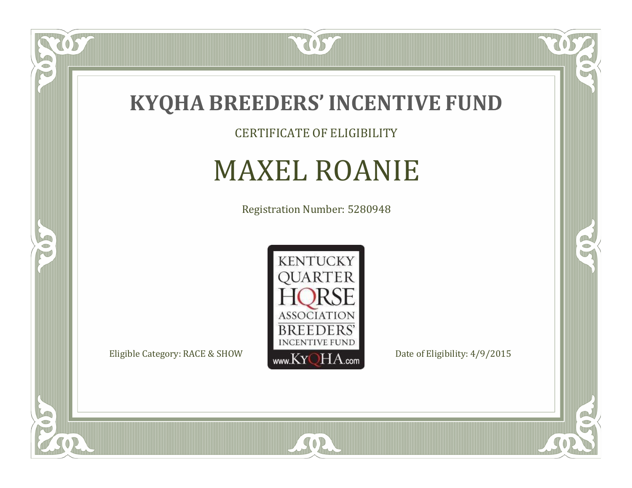

CERTIFICATE OF ELIGIBILITY

# MAXEL ROANIE

Registration Number: 5280948



SOR

 $\mathbb{R}$ 

 $\rightarrow$ 

US

 $\bullet$ NU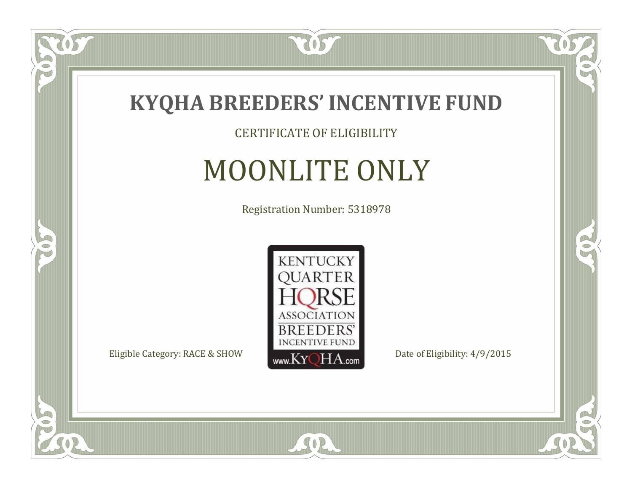

#### CERTIFICATE OF ELIGIBILITY

# MOONLITE ONLY

Registration Number: 5318978



SOR

 $\mathbb{R}$ 

 $\rightarrow$ 

US

 $\bullet$ NU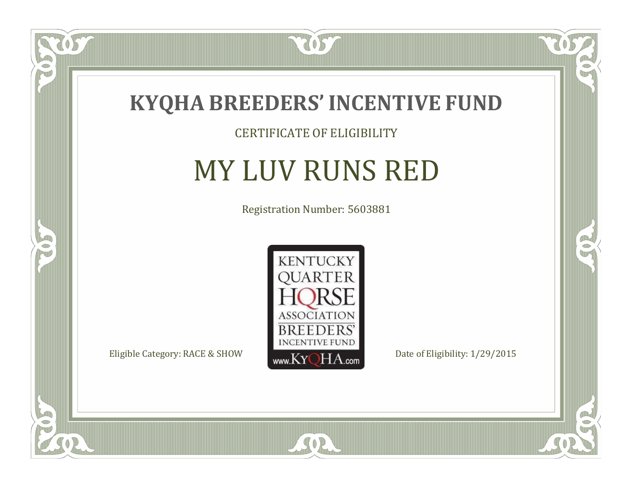

#### CERTIFICATE OF ELIGIBILITY

## MY LUV RUNS RED

Registration Number: 5603881



SOR

CO.

 $\rightarrow$ 

057

 $\bullet$ NU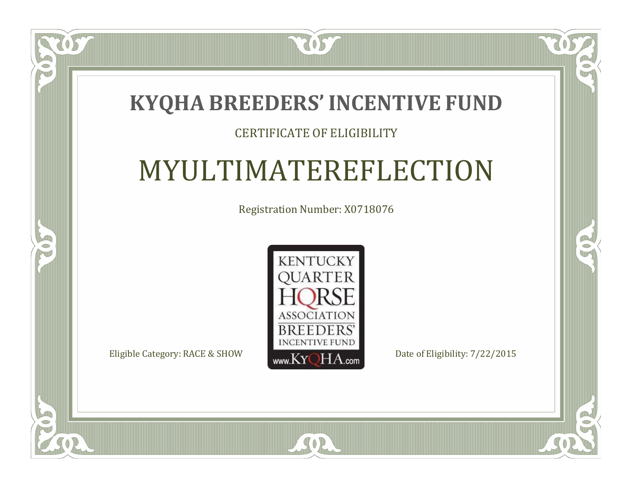### **KYQHA BREEDERS'INCENTIVE FUND**

7057

#### CERTIFICATE OF ELIGIBILITY

# MYULTIMATEREFLECTION

Registration Number: X0718076



SOR

CO.

 $\rightarrow$ 



 $\Box$ N

S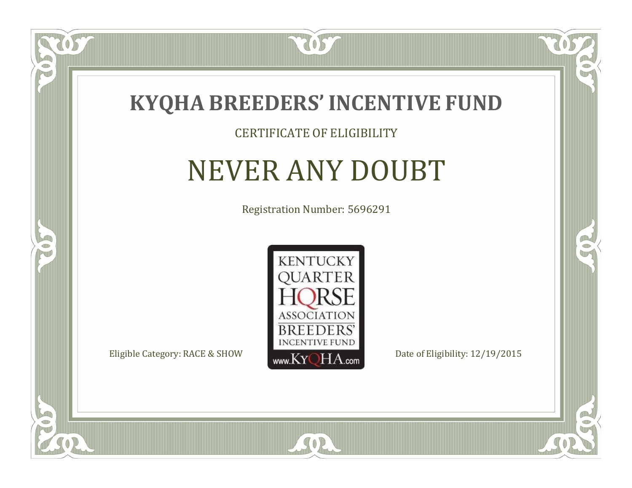

#### CERTIFICATE OF ELIGIBILITY

### NEVER ANY DOUBT

Registration Number: 5696291



 $SO2$ 

CO.

 $\rightarrow$ 

 $\Box$ N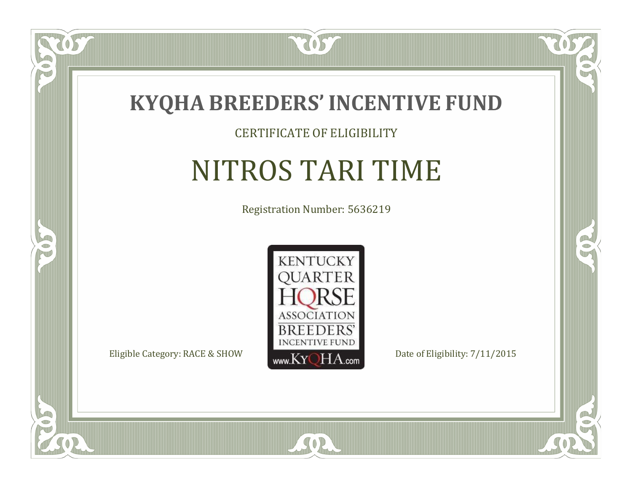

#### CERTIFICATE OF ELIGIBILITY

# NITROS TARI TIME

Registration Number: 5636219



CO.

 $\rightarrow$ 

US

 $\Box$ NU

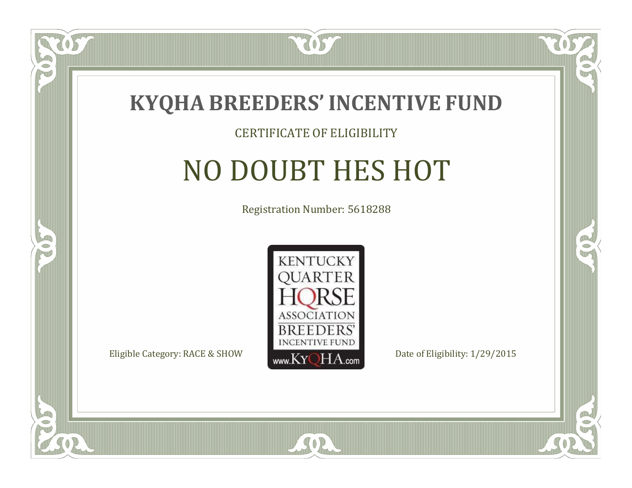

#### CERTIFICATE OF ELIGIBILITY

# NO DOUBT HES HOT

Registration Number: 5618288



SOR

CO.

B

 $\Box$ NU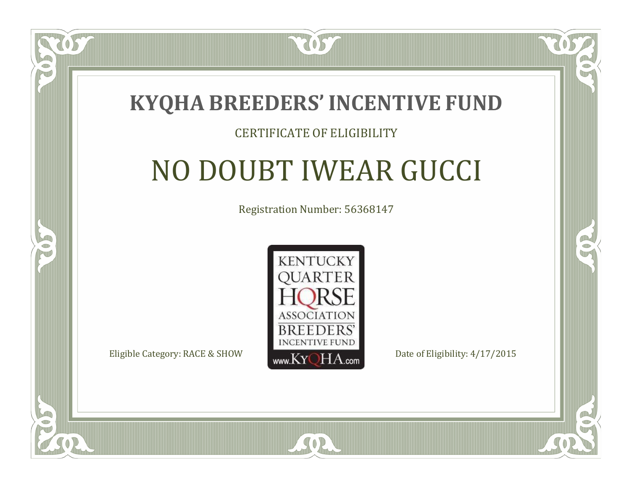

#### CERTIFICATE OF ELIGIBILITY

## NO DOUBT IWEAR GUCCI

Registration Number: 56368147



 $SO2$ 

CO.

P.

 $\Box$ T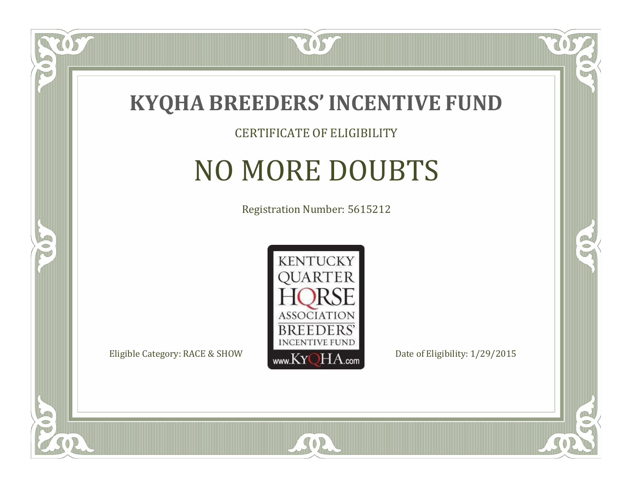

#### CERTIFICATE OF ELIGIBILITY

# NO MORE DOUBTS

Registration Number: 5615212



CO.

B

OS

 $\Box$ NU

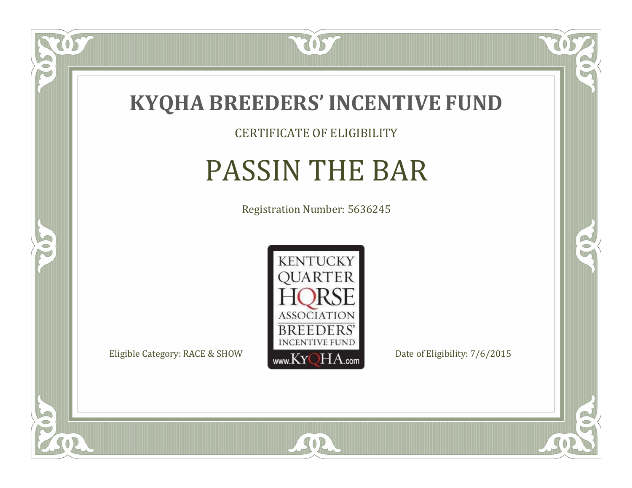

### CERTIFICATE OF ELIGIBILITY

# PASSIN THE BAR

Registration Number: 5636245



SOR

CO.

 $\rightarrow$ 

US

 $\bullet$ NU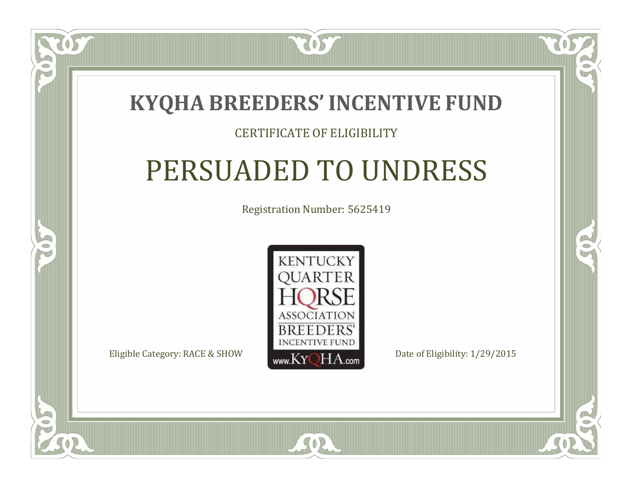### **KYQHA BREEDERS'INCENTIVE FUND**

7057

### CERTIFICATE OF ELIGIBILITY

# PERSUADED TO UNDRESS

Registration Number: 5625419



SOR

 $\mathbb{R}^2$ 

B

 $\Box$ T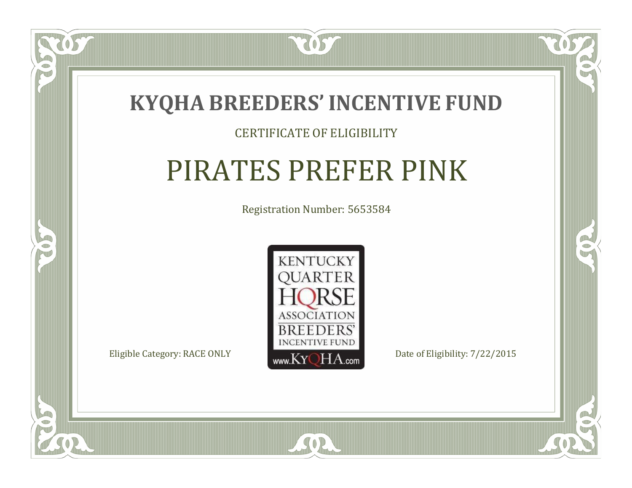

#### CERTIFICATE OF ELIGIBILITY

## PIRATES PREFER PINK

Registration Number: 5653584



SOR

CO.

 $\rightarrow$ 

 $\Box$ N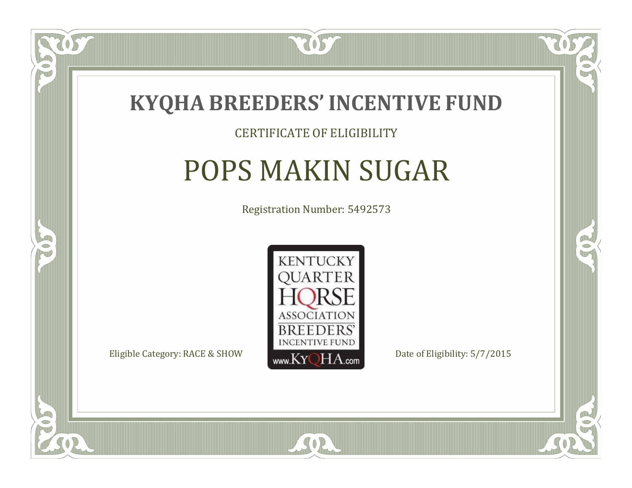

#### CERTIFICATE OF ELIGIBILITY

# POPS MAKIN SUGAR

Registration Number: 5492573



CO.

B

US

 $\Box$ NU

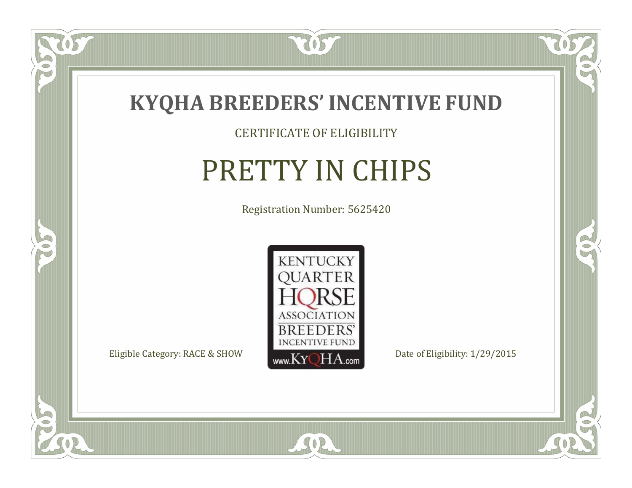

CERTIFICATE OF ELIGIBILITY

# PRETTY IN CHIPS

Registration Number: 5625420



SOR

CO.

 $\rightarrow$ 

US

 $\bullet$ NU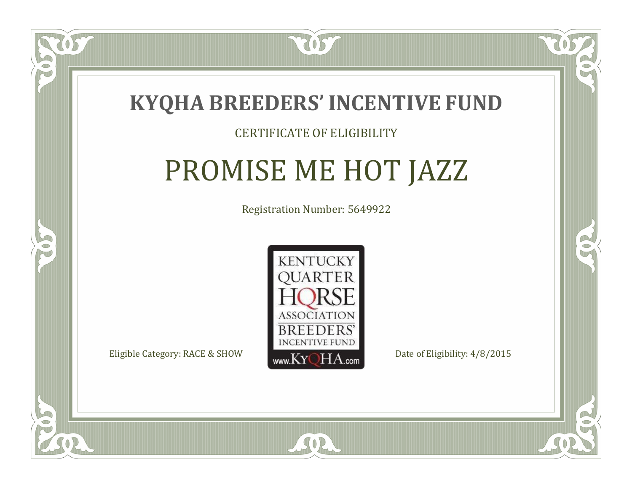

### CERTIFICATE OF ELIGIBILITY

# PROMISE ME HOT JAZZ

Registration Number: 5649922



SOR

RO

A.

 $\Box$ N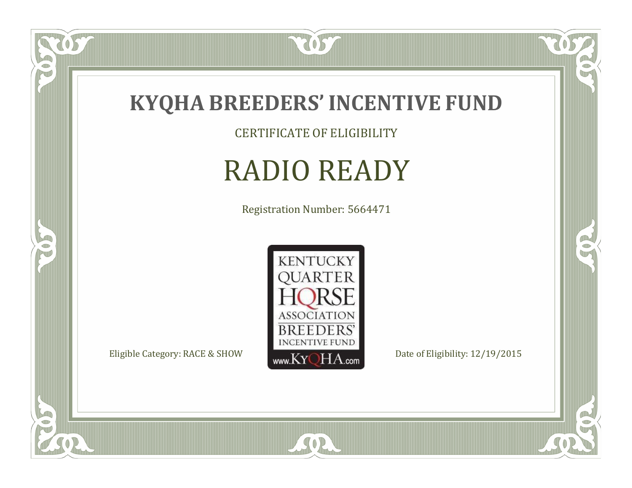

CERTIFICATE OF ELIGIBILITY

## RADIO READY

Registration Number: 5664471



SOR

CO.

 $\rightarrow$ 

057

 $\bullet$ NU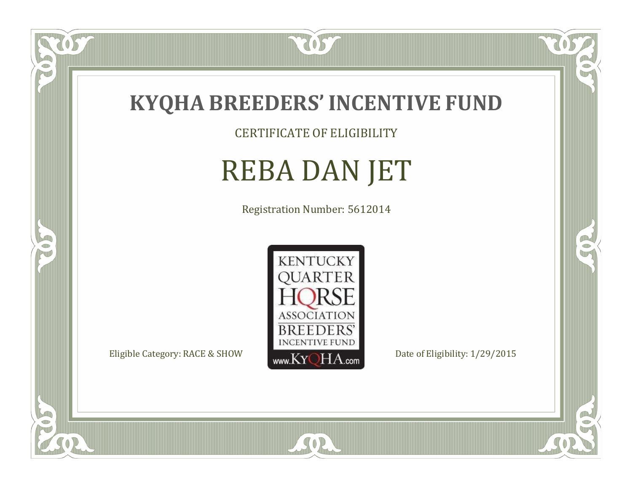

CERTIFICATE OF ELIGIBILITY

# REBA DAN JET

Registration Number: 5612014



SOR

RO

B

 $\overline{OS}$ 

 $\Box$ NU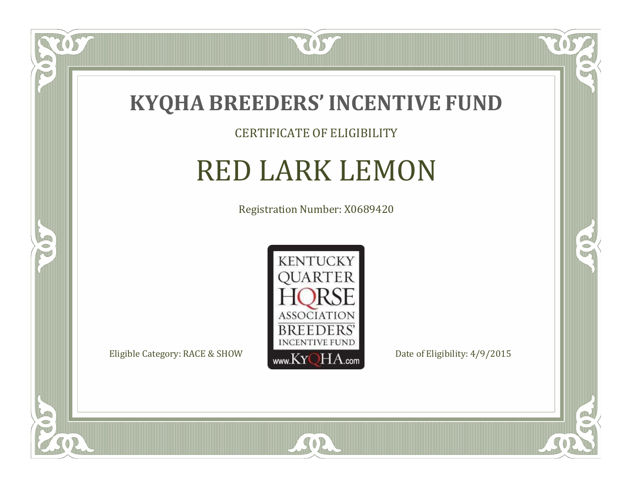

### CERTIFICATE OF ELIGIBILITY

## RED LARK LEMON

Registration Number: X0689420



SOR

CO.

 $\rightarrow$ 

 $\overline{OS}$ 

 $\bullet$ NU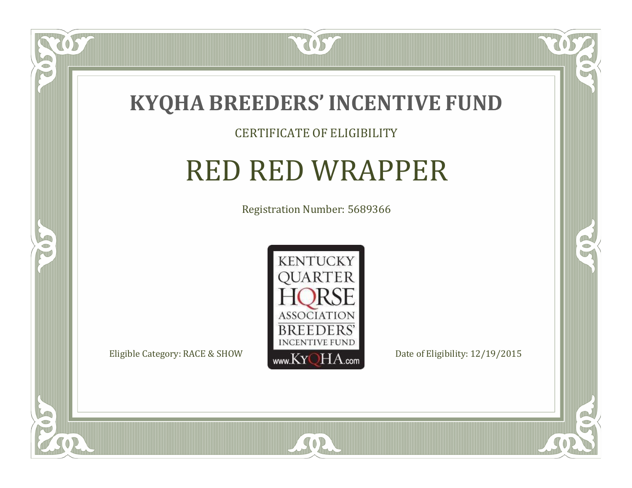

 $\widetilde{\text{OS}}$ 

 $\Box$ T

5

#### CERTIFICATE OF ELIGIBILITY

### RED RED WRAPPER

Registration Number: 5689366



SOR

CO.

B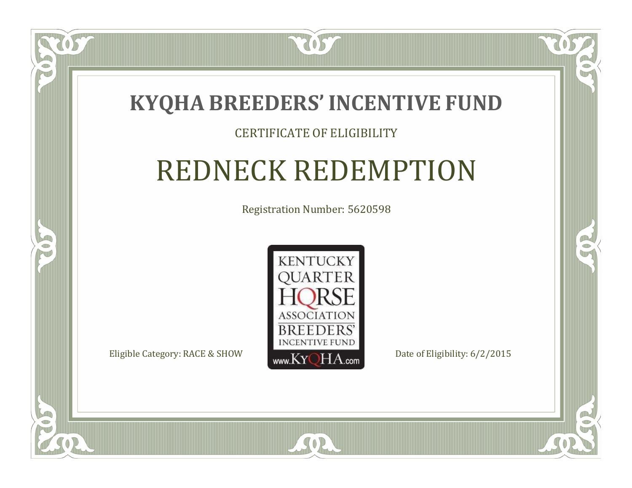

### CERTIFICATE OF ELIGIBILITY

## REDNECK REDEMPTION

Registration Number: 5620598



SOR

 $\mathbb{R}^2$ 

 $\rightarrow$ 

 $\Box$ N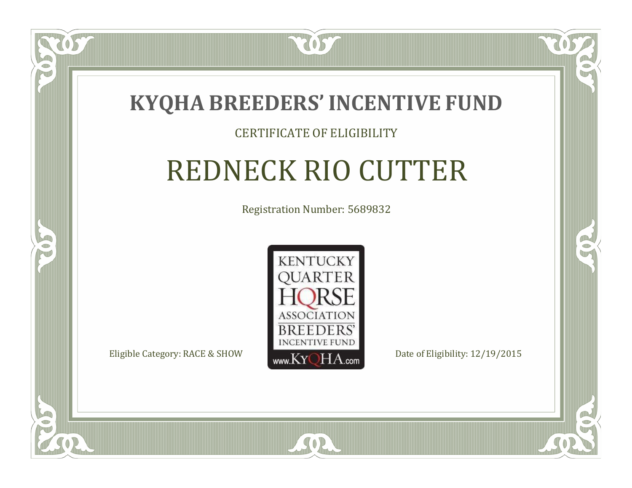

### CERTIFICATE OF ELIGIBILITY

# REDNECK RIO CUTTER

Registration Number: 5689832



RO

B

 $\Box$ N

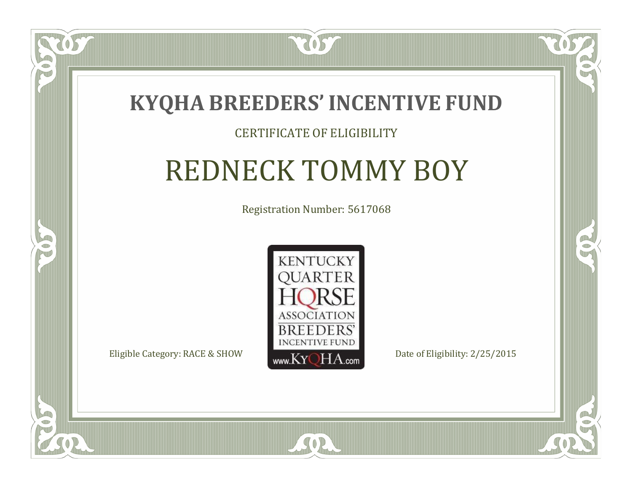

### CERTIFICATE OF ELIGIBILITY

# REDNECK TOMMY BOY

Registration Number: 5617068



CO.

 $\rightarrow$ 

 $\Box$ N

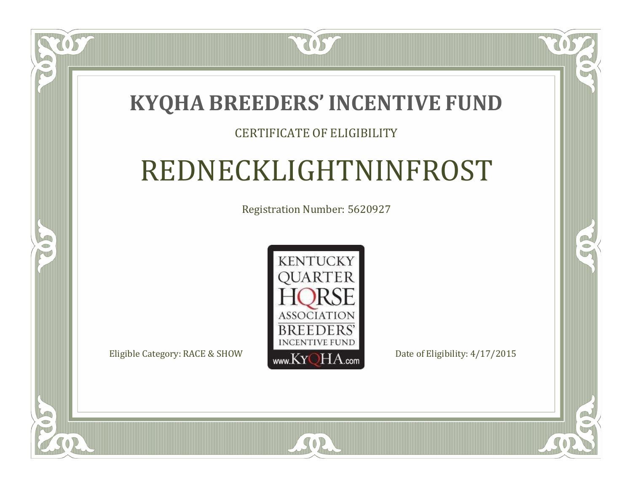### **KYQHA BREEDERS'INCENTIVE FUND**

7057

 $\Box$ N

S

### CERTIFICATE OF ELIGIBILITY

# REDNECKLIGHTNINFROST

Registration Number: 5620927



CO.

 $\rightarrow$ 

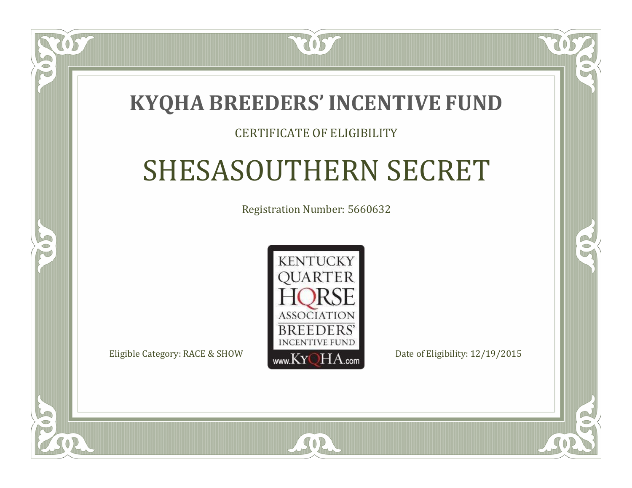### **KYQHA BREEDERS'INCENTIVE FUND**

7057

 $\Box$ T

S

### CERTIFICATE OF ELIGIBILITY

# SHESASOUTHERN SECRET

Registration Number: 5660632



 $SO<sub>2</sub>$ 

CO.

P.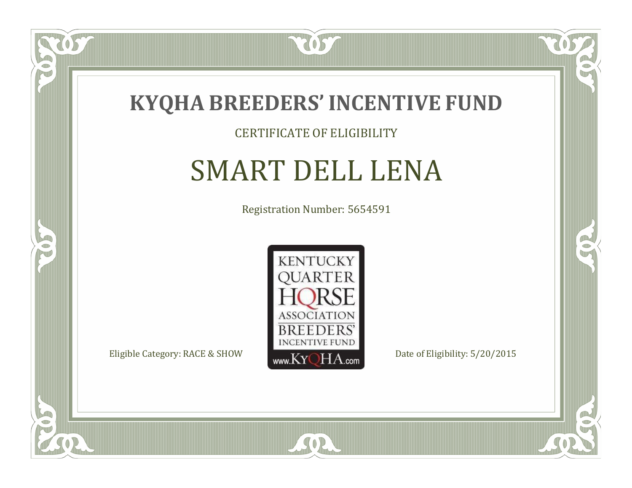

#### CERTIFICATE OF ELIGIBILITY

### SMART DELL LENA

Registration Number: 5654591



SOR

CO.

 $\rightarrow$ 

OS

 $\Box$ NU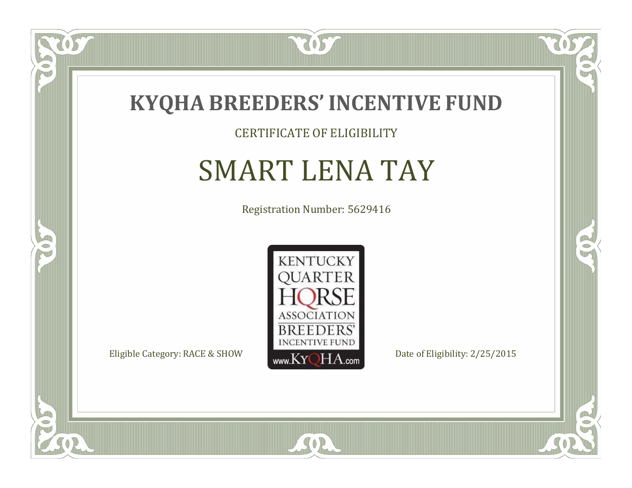

### CERTIFICATE OF ELIGIBILITY

## SMART LENA TAY

Registration Number: 5629416



SOR

CO.

 $\rightarrow$ 

OS

 $\bullet$ NU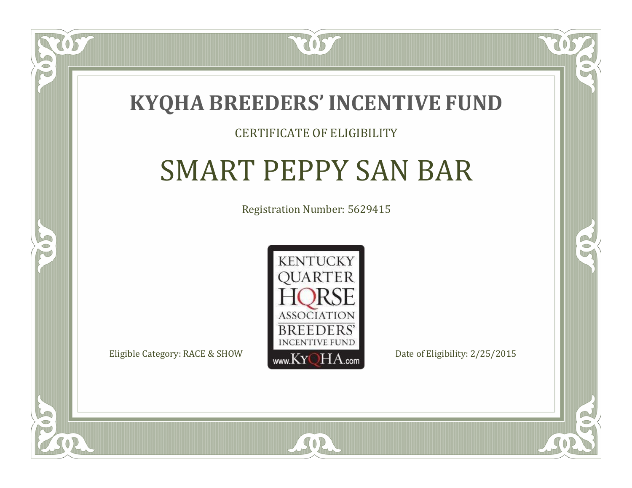

### CERTIFICATE OF ELIGIBILITY

# SMART PEPPY SAN BAR

Registration Number: 5629415



 $SO2$ 

CO.

 $\rightarrow$ 

 $\blacksquare$ N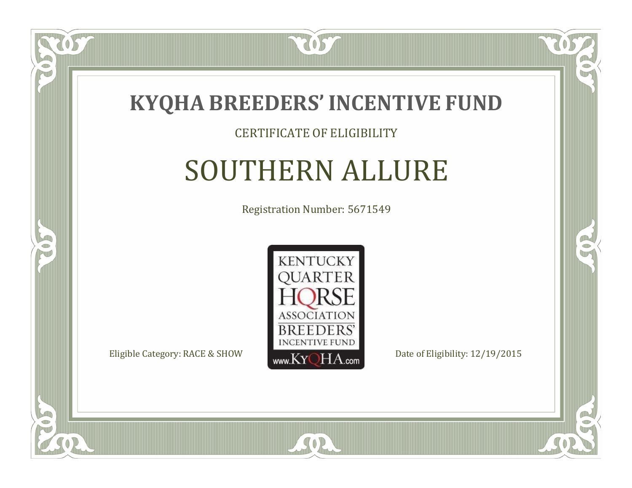

#### CERTIFICATE OF ELIGIBILITY

### SOUTHERN ALLURE

Registration Number: 5671549



CO.

 $\rightarrow$ 

 $\Box$ T

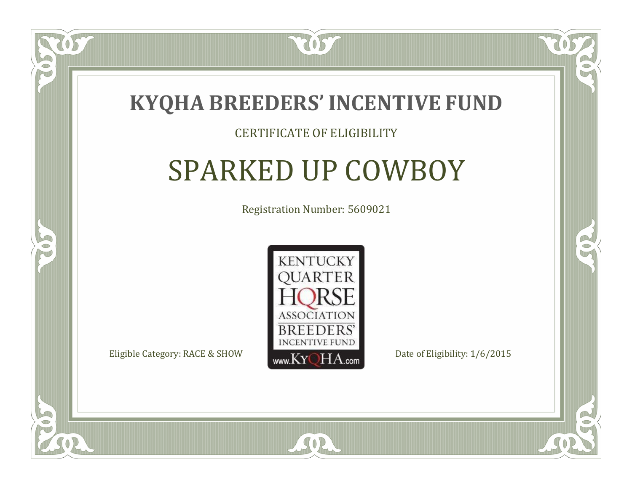

### CERTIFICATE OF ELIGIBILITY

## SPARKED UP COWBOY

Registration Number: 5609021



SOR

RO

B

 $\Box$ N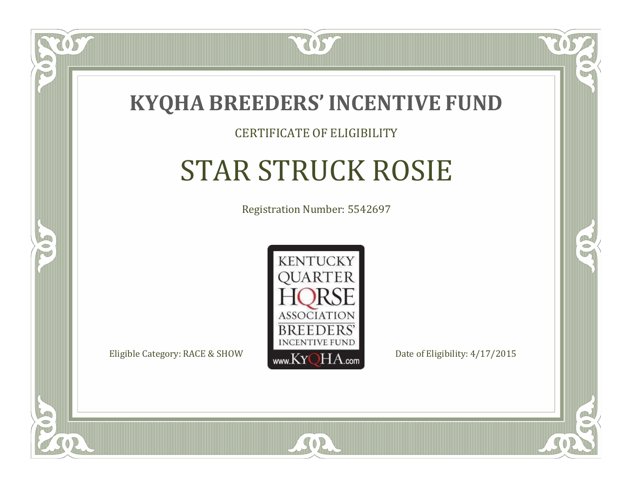

#### CERTIFICATE OF ELIGIBILITY

# STAR STRUCK ROSIE

Registration Number: 5542697



SOR

CO.

 $\rightarrow$ 

 $\Box$ N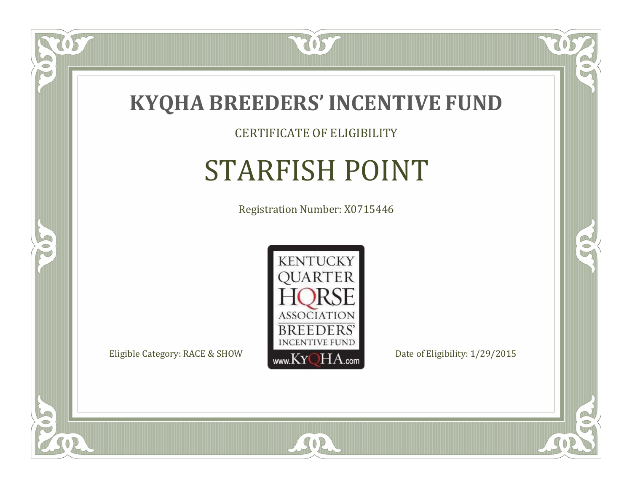

CERTIFICATE OF ELIGIBILITY

# STARFISH POINT

Registration Number: X0715446



SOR

CO.

 $\rightarrow$ 

US

 $\Box$ NU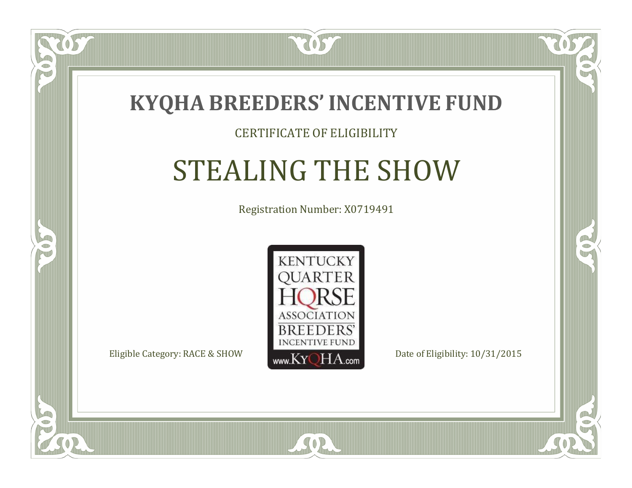

#### CERTIFICATE OF ELIGIBILITY

# STEALING THE SHOW

Registration Number: X0719491



SOR

RO

CO.

 $\Box$ N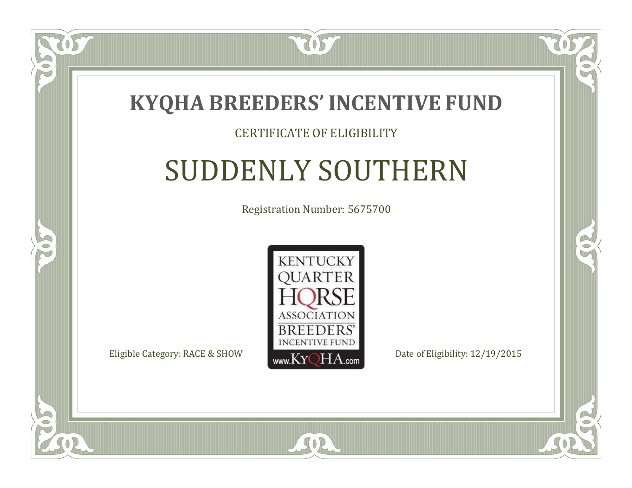

 $\blacksquare$ N

5

### CERTIFICATE OF ELIGIBILITY

# SUDDENLY SOUTHERN

Registration Number: 5675700



SOR

CO.

 $\rightarrow$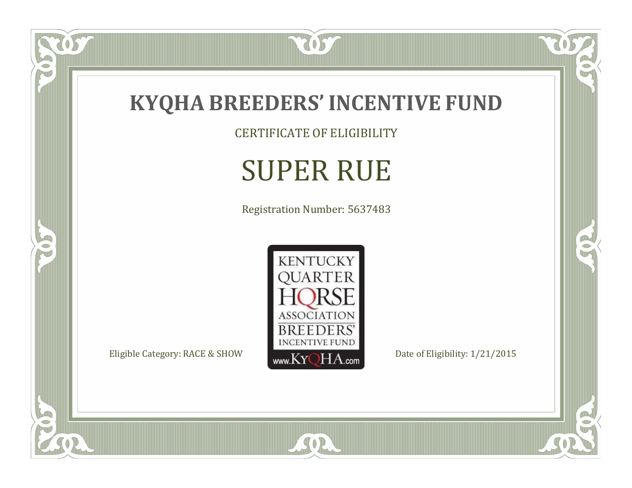

CERTIFICATE OF ELIGIBILITY

# SUPER RUE

Registration Number: 5637483



SOR

 $\mathbb{R}$ 

 $\mathbb{R}^2$ 

 $\overline{OS}$ 

 $\bullet$ N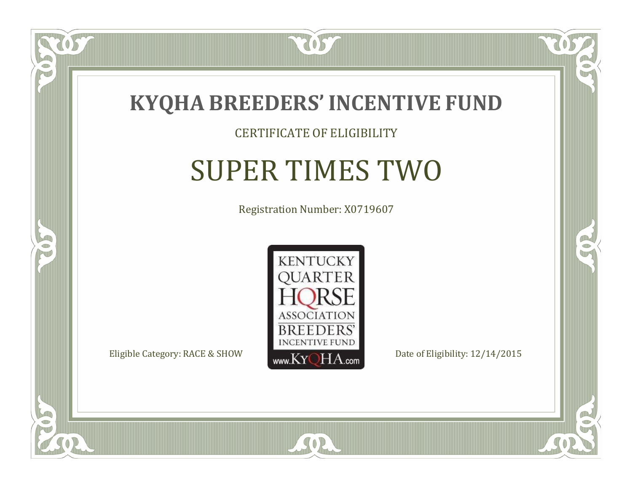

#### CERTIFICATE OF ELIGIBILITY

## SUPER TIMES TWO

Registration Number: X0719607



SOR

CO.

 $\rightarrow$ 

US

 $\Box$ NU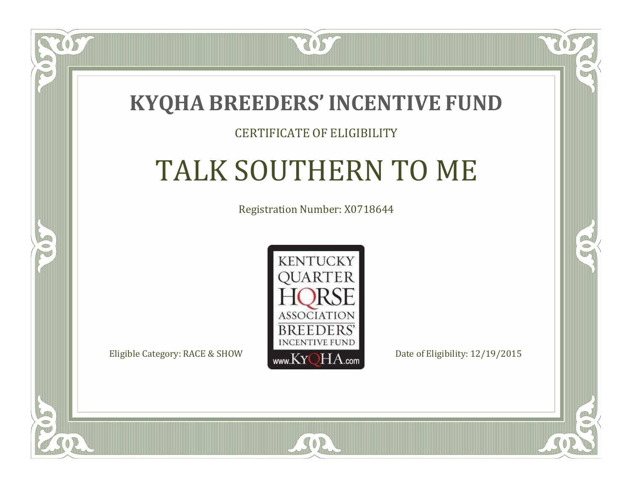### **KYQHA BREEDERS'INCENTIVE FUND**

7057

### CERTIFICATE OF ELIGIBILITY

# TALK SOUTHERN TO ME

Registration Number: X0718644



 $SO2$ 

 $\mathbb{R}^2$ 

 $\rightarrow$ 

 $\Box$ N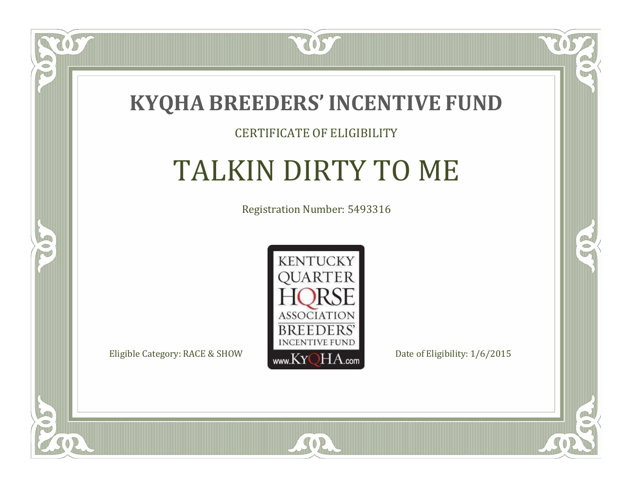

### CERTIFICATE OF ELIGIBILITY

# TALKIN DIRTY TO ME

Registration Number: 5493316



SOR

CO.

 $\rightarrow$ 

 $\delta S$ 

 $\Box$ N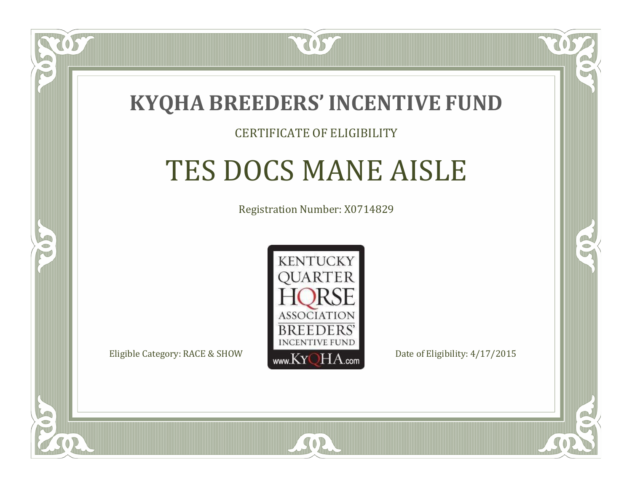

#### CERTIFICATE OF ELIGIBILITY

### TES DOCS MANE AISLE

Registration Number: X0714829



RO

P.



 $\Box$ N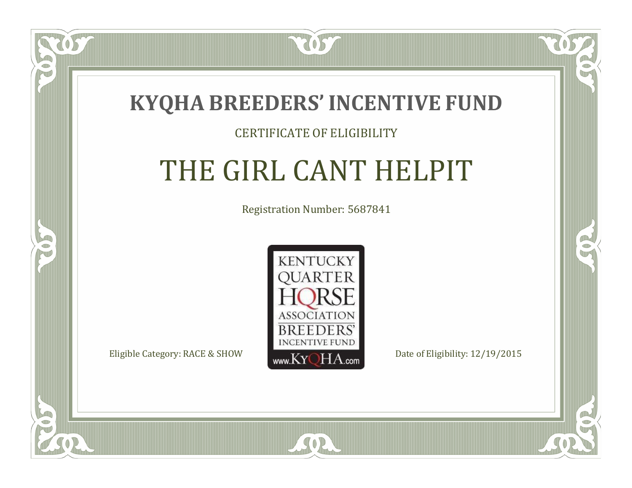

#### CERTIFICATE OF ELIGIBILITY

# THE GIRL CANT HELPIT

Registration Number: 5687841



 $SO<sub>2</sub>$ 

RO

CO.

 $\blacksquare$ N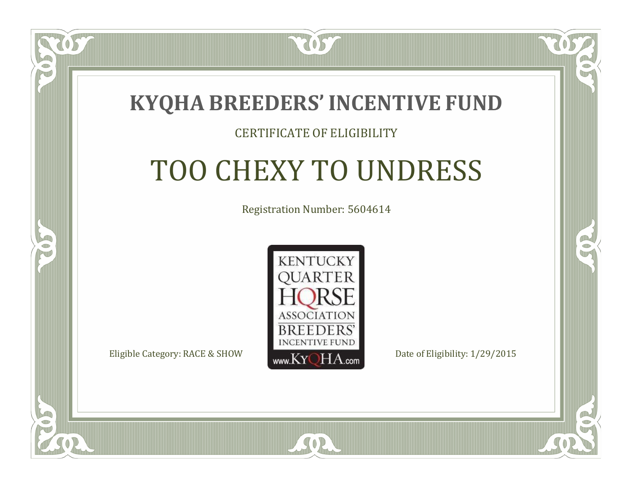

#### CERTIFICATE OF ELIGIBILITY

# TOO CHEXY TO UNDRESS

Registration Number: 5604614



SOR

RO

P.

 $\Box$ T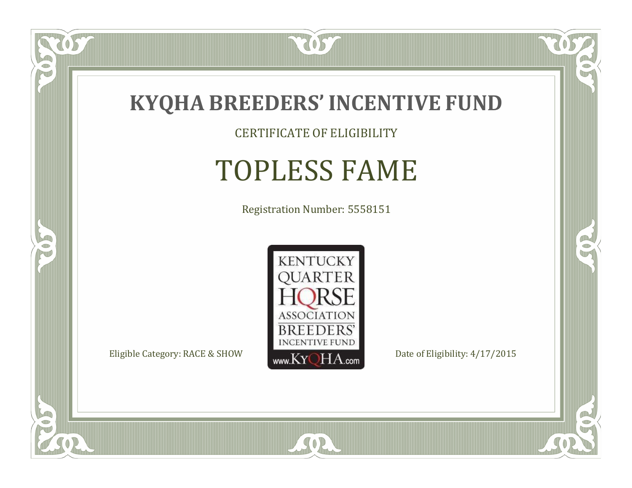

CERTIFICATE OF ELIGIBILITY

# TOPLESS FAME

Registration Number: 5558151



SOR

CO.

 $\rightarrow$ 

057

 $\bullet$ NU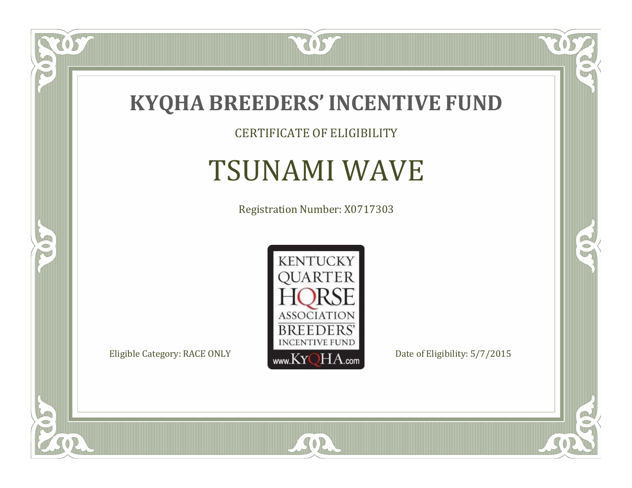

CERTIFICATE OF ELIGIBILITY

## TSUNAMI WAVE

Registration Number: X0717303



SOR

 $\mathbb{R}$ 

 $\rightarrow$ 

 $\overline{OS}$ 

 $\bullet$ NU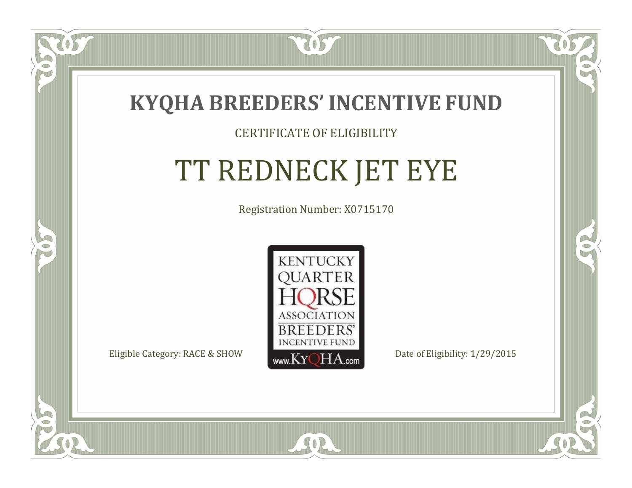

### CERTIFICATE OF ELIGIBILITY

# TT REDNECK JET EYE

Registration Number: X0715170



SOR

 $\Box$ N

S

RO

B.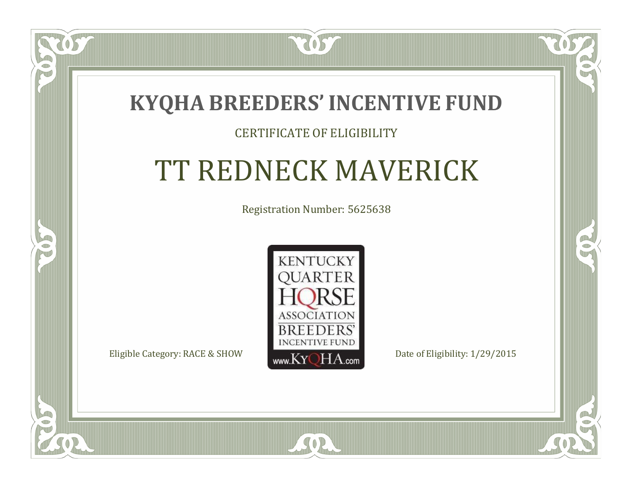

### CERTIFICATE OF ELIGIBILITY

## TT REDNECK MAVERICK

Registration Number: 5625638



SOR

 $\mathbb{R}^2$ 

 $\rightarrow$ 

 $\Box$ N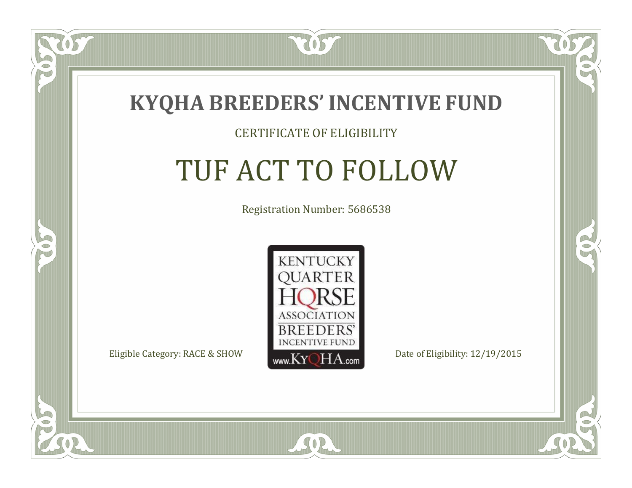

 $\Box$ N

5

#### CERTIFICATE OF ELIGIBILITY

# TUF ACT TO FOLLOW

Registration Number: 5686538



SOR

CO.

B)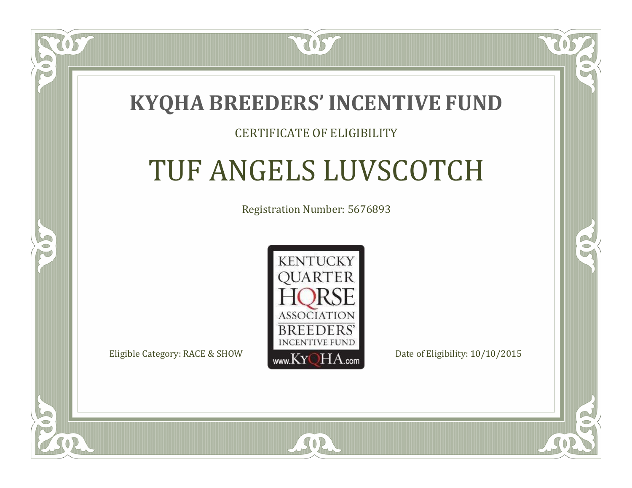

### CERTIFICATE OF ELIGIBILITY

## TUF ANGELS LUVSCOTCH

Registration Number: 5676893



 $SO<sub>2</sub>$ 

RO

CO.

 $\Box$ T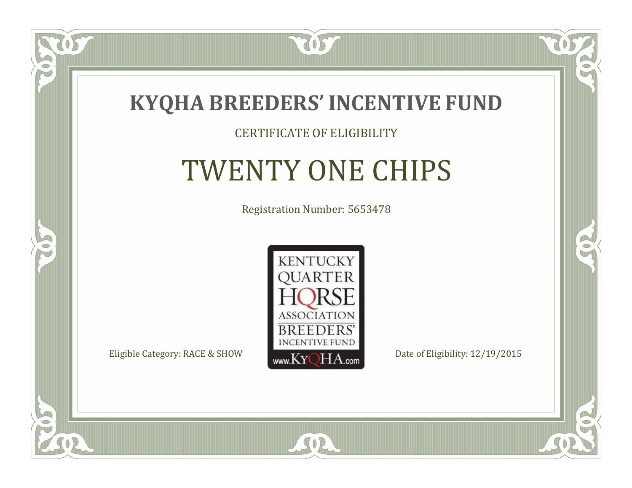

### CERTIFICATE OF ELIGIBILITY

## TWENTY ONE CHIPS

Registration Number: 5653478



SOR

CO.

 $\rightarrow$ 

 $\Box$ NU

5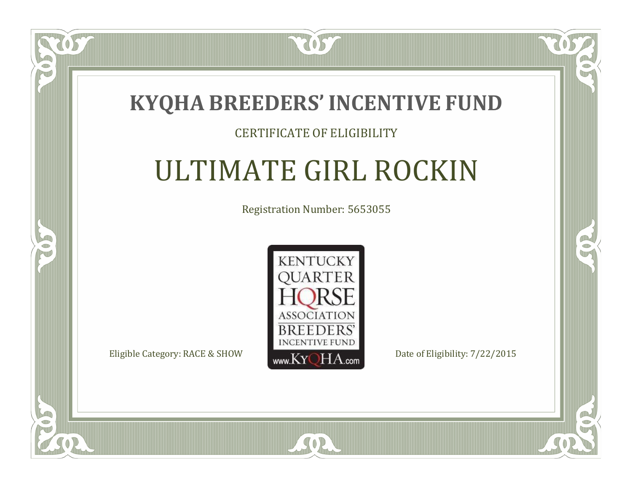

### CERTIFICATE OF ELIGIBILITY

## ULTIMATE GIRL ROCKIN

Registration Number: 5653055



CO.

 $\rightarrow$ 

 $\Box$ N

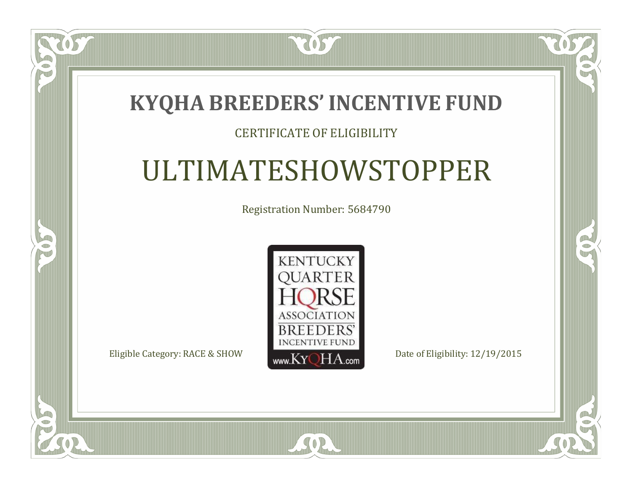### **KYQHA BREEDERS'INCENTIVE FUND**

2057

### CERTIFICATE OF ELIGIBILITY

## ULTIMATESHOWSTOPPER

Registration Number: 5684790



SOR

 $\mathbb{R}^2$ 

 $\rightarrow$ 

 $\Box$ N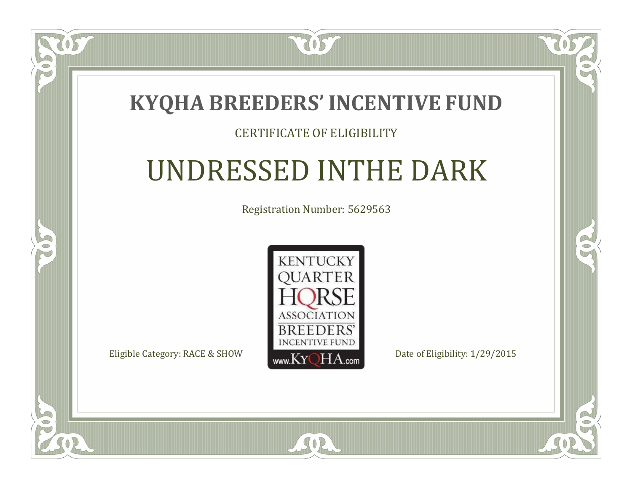### **KYQHA BREEDERS'INCENTIVE FUND**

7057

### CERTIFICATE OF ELIGIBILITY

## UNDRESSED INTHE DARK

Registration Number: 5629563



SOR

 $\mathbb{R}^2$ 

 $\rightarrow$ 

 $\Box$ N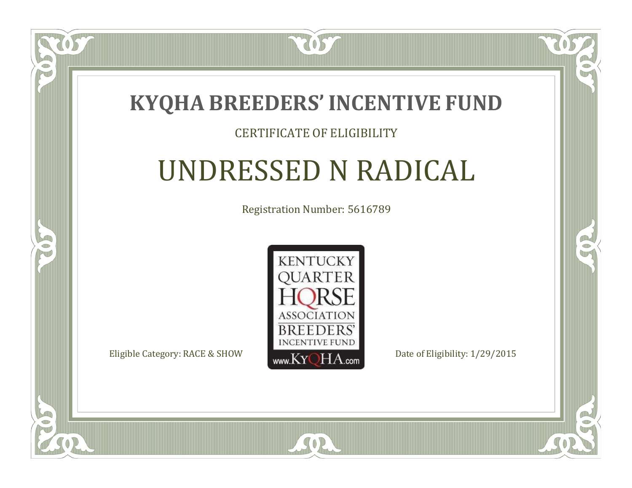

### CERTIFICATE OF ELIGIBILITY

## UNDRESSED N RADICAL

Registration Number: 5616789



SOR

 $\Box$ N

S

CO.

B)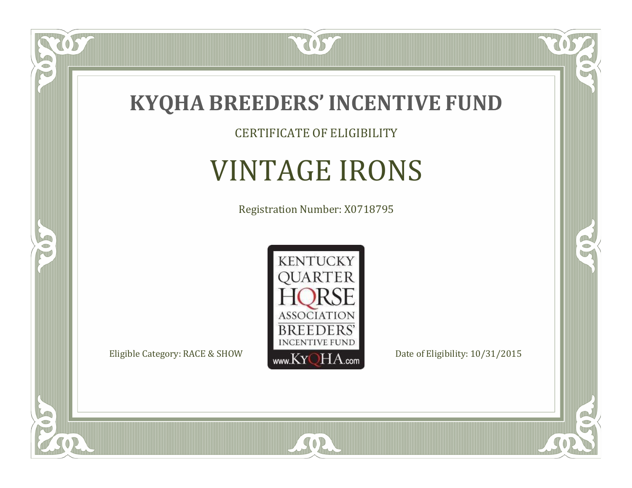

CERTIFICATE OF ELIGIBILITY

## VINTAGE IRONS

Registration Number: X0718795



SOR

CO.

 $\rightarrow$ 

057

 $\bullet$ NU

5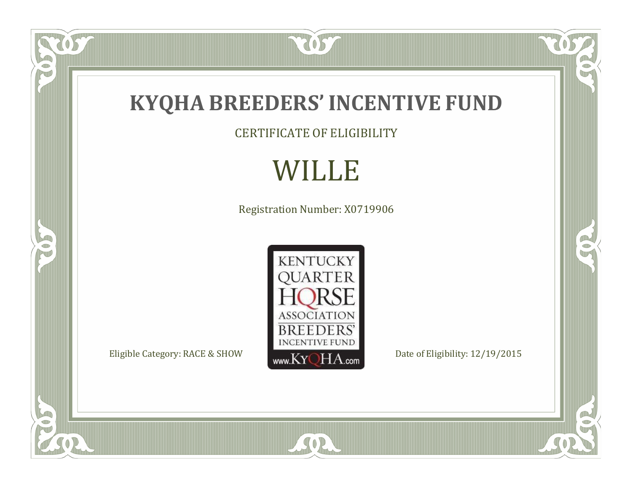

CERTIFICATE OF ELIGIBILITY

## WILLE

Registration Number: X0719906



SOR

TOST

FO

5

 $\overline{\mathbb{C}}$ 

 $\mathbb{R}$ 

 $\mathbb{R}^2$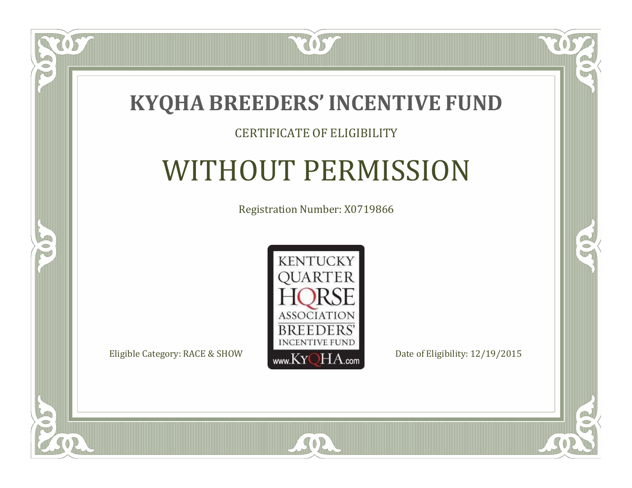

### CERTIFICATE OF ELIGIBILITY

## WITHOUT PERMISSION

Registration Number: X0719866



SOR

CO.

 $\rightarrow$ 

 $\Box$ N

5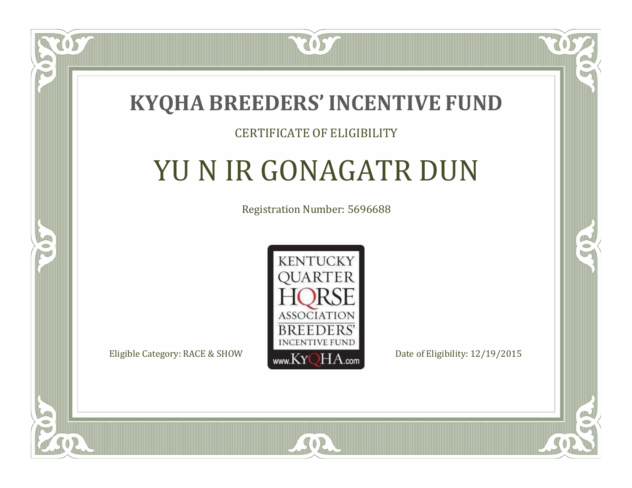

### CERTIFICATE OF ELIGIBILITY

## YU N IR GONAGATR DUN

Registration Number: 5696688



SOR

CO.

CO.

 $\Box$ N